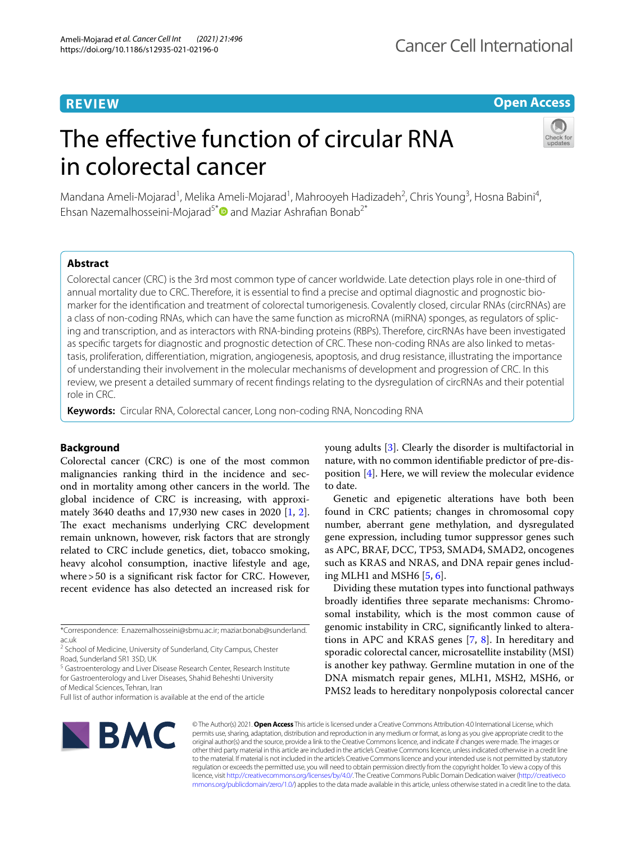# **REVIEW**

# **Open Access**

# The effective function of circular RNA in colorectal cancer



Mandana Ameli-Mojarad<sup>1</sup>, Melika Ameli-Mojarad<sup>1</sup>, Mahrooyeh Hadizadeh<sup>2</sup>, Chris Young<sup>3</sup>, Hosna Babini<sup>4</sup>, Ehsan Nazemalhosseini-Mojarad<sup>5[\\*](http://orcid.org/0000-0001-8914-004X)</sup> and Maziar Ashrafian Bonab<sup>2\*</sup>

# **Abstract**

Colorectal cancer (CRC) is the 3rd most common type of cancer worldwide. Late detection plays role in one-third of annual mortality due to CRC. Therefore, it is essential to find a precise and optimal diagnostic and prognostic biomarker for the identifcation and treatment of colorectal tumorigenesis. Covalently closed, circular RNAs (circRNAs) are a class of non-coding RNAs, which can have the same function as microRNA (miRNA) sponges, as regulators of splicing and transcription, and as interactors with RNA-binding proteins (RBPs). Therefore, circRNAs have been investigated as specific targets for diagnostic and prognostic detection of CRC. These non-coding RNAs are also linked to metastasis, proliferation, diferentiation, migration, angiogenesis, apoptosis, and drug resistance, illustrating the importance of understanding their involvement in the molecular mechanisms of development and progression of CRC. In this review, we present a detailed summary of recent fndings relating to the dysregulation of circRNAs and their potential role in CRC.

**Keywords:** Circular RNA, Colorectal cancer, Long non-coding RNA, Noncoding RNA

## **Background**

Colorectal cancer (CRC) is one of the most common malignancies ranking third in the incidence and second in mortality among other cancers in the world. The global incidence of CRC is increasing, with approximately 3640 deaths and 17,930 new cases in 2020 [[1,](#page-11-0) [2](#page-11-1)]. The exact mechanisms underlying CRC development remain unknown, however, risk factors that are strongly related to CRC include genetics, diet, tobacco smoking, heavy alcohol consumption, inactive lifestyle and age, where > 50 is a significant risk factor for CRC. However, recent evidence has also detected an increased risk for

\*Correspondence: E.nazemalhosseini@sbmu.ac.ir; maziar.bonab@sunderland. ac.uk

<sup>2</sup> School of Medicine, University of Sunderland, City Campus, Chester Road, Sunderland SR1 3SD, UK

<sup>5</sup> Gastroenterology and Liver Disease Research Center, Research Institute for Gastroenterology and Liver Diseases, Shahid Beheshti University of Medical Sciences, Tehran, Iran

young adults [[3\]](#page-11-2). Clearly the disorder is multifactorial in nature, with no common identifable predictor of pre-disposition [\[4\]](#page-11-3). Here, we will review the molecular evidence to date.

Genetic and epigenetic alterations have both been found in CRC patients; changes in chromosomal copy number, aberrant gene methylation, and dysregulated gene expression, including tumor suppressor genes such as APC, BRAF, DCC, TP53, SMAD4, SMAD2, oncogenes such as KRAS and NRAS, and DNA repair genes including MLH1 and MSH6 [[5,](#page-11-4) [6](#page-11-5)].

Dividing these mutation types into functional pathways broadly identifes three separate mechanisms: Chromosomal instability, which is the most common cause of genomic instability in CRC, signifcantly linked to alterations in APC and KRAS genes [[7](#page-11-6), [8](#page-11-7)]. In hereditary and sporadic colorectal cancer, microsatellite instability (MSI) is another key pathway. Germline mutation in one of the DNA mismatch repair genes, MLH1, MSH2, MSH6, or PMS2 leads to hereditary nonpolyposis colorectal cancer



© The Author(s) 2021. **Open Access** This article is licensed under a Creative Commons Attribution 4.0 International License, which permits use, sharing, adaptation, distribution and reproduction in any medium or format, as long as you give appropriate credit to the original author(s) and the source, provide a link to the Creative Commons licence, and indicate if changes were made. The images or other third party material in this article are included in the article's Creative Commons licence, unless indicated otherwise in a credit line to the material. If material is not included in the article's Creative Commons licence and your intended use is not permitted by statutory regulation or exceeds the permitted use, you will need to obtain permission directly from the copyright holder. To view a copy of this licence, visit [http://creativecommons.org/licenses/by/4.0/.](http://creativecommons.org/licenses/by/4.0/) The Creative Commons Public Domain Dedication waiver ([http://creativeco](http://creativecommons.org/publicdomain/zero/1.0/) [mmons.org/publicdomain/zero/1.0/](http://creativecommons.org/publicdomain/zero/1.0/)) applies to the data made available in this article, unless otherwise stated in a credit line to the data.

Full list of author information is available at the end of the article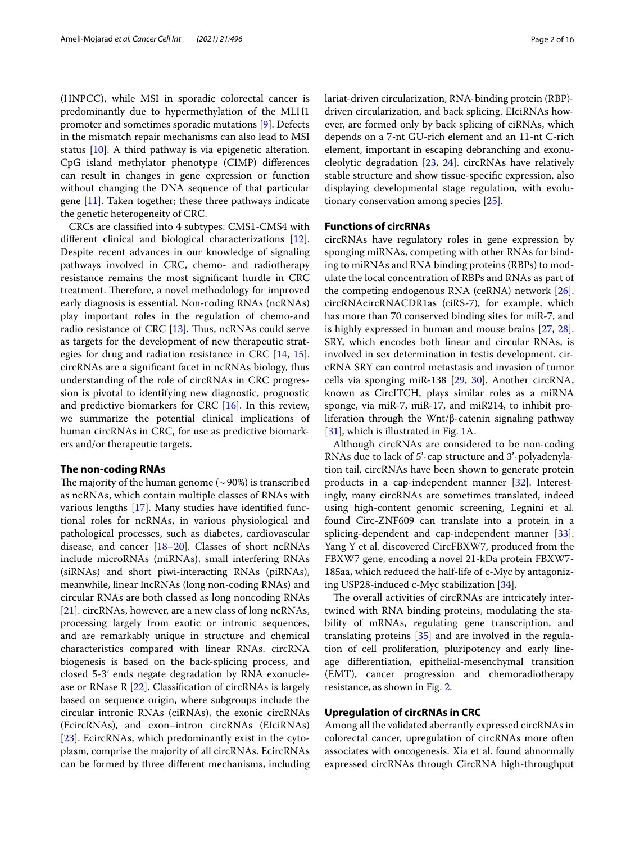(HNPCC), while MSI in sporadic colorectal cancer is predominantly due to hypermethylation of the MLH1 promoter and sometimes sporadic mutations [[9\]](#page-11-8). Defects in the mismatch repair mechanisms can also lead to MSI status [\[10](#page-11-9)]. A third pathway is via epigenetic alteration. CpG island methylator phenotype (CIMP) diferences can result in changes in gene expression or function without changing the DNA sequence of that particular gene [\[11\]](#page-11-10). Taken together; these three pathways indicate the genetic heterogeneity of CRC.

CRCs are classifed into 4 subtypes: CMS1-CMS4 with diferent clinical and biological characterizations [\[12](#page-11-11)]. Despite recent advances in our knowledge of signaling pathways involved in CRC, chemo- and radiotherapy resistance remains the most signifcant hurdle in CRC treatment. Therefore, a novel methodology for improved early diagnosis is essential. Non-coding RNAs (ncRNAs) play important roles in the regulation of chemo-and radio resistance of CRC  $[13]$  $[13]$ . Thus, ncRNAs could serve as targets for the development of new therapeutic strategies for drug and radiation resistance in CRC [[14,](#page-12-1) [15](#page-12-2)]. circRNAs are a signifcant facet in ncRNAs biology, thus understanding of the role of circRNAs in CRC progression is pivotal to identifying new diagnostic, prognostic and predictive biomarkers for CRC [[16\]](#page-12-3). In this review, we summarize the potential clinical implications of human circRNAs in CRC, for use as predictive biomarkers and/or therapeutic targets.

## **The non‑coding RNAs**

The majority of the human genome  $({\sim}90\%)$  is transcribed as ncRNAs, which contain multiple classes of RNAs with various lengths [\[17](#page-12-4)]. Many studies have identifed functional roles for ncRNAs, in various physiological and pathological processes, such as diabetes, cardiovascular disease, and cancer [\[18](#page-12-5)[–20\]](#page-12-6). Classes of short ncRNAs include microRNAs (miRNAs), small interfering RNAs (siRNAs) and short piwi-interacting RNAs (piRNAs), meanwhile, linear lncRNAs (long non-coding RNAs) and circular RNAs are both classed as long noncoding RNAs [[21\]](#page-12-7). circRNAs, however, are a new class of long ncRNAs, processing largely from exotic or intronic sequences, and are remarkably unique in structure and chemical characteristics compared with linear RNAs. circRNA biogenesis is based on the back‐splicing process, and closed 5-3ʹ ends negate degradation by RNA exonuclease or RNase R [\[22](#page-12-8)]. Classifcation of circRNAs is largely based on sequence origin, where subgroups include the circular intronic RNAs (ciRNAs), the exonic circRNAs (EcircRNAs), and exon–intron circRNAs (EIciRNAs) [[23\]](#page-12-9). EcircRNAs, which predominantly exist in the cytoplasm, comprise the majority of all circRNAs. EcircRNAs can be formed by three diferent mechanisms, including lariat-driven circularization, RNA-binding protein (RBP) driven circularization, and back splicing. EIciRNAs however, are formed only by back splicing of ciRNAs, which depends on a 7-nt GU-rich element and an 11-nt C-rich element, important in escaping debranching and exonucleolytic degradation [\[23](#page-12-9), [24](#page-12-10)]. circRNAs have relatively stable structure and show tissue-specifc expression, also displaying developmental stage regulation, with evolutionary conservation among species [[25\]](#page-12-11).

## **Functions of circRNAs**

circRNAs have regulatory roles in gene expression by sponging miRNAs, competing with other RNAs for binding to miRNAs and RNA binding proteins (RBPs) to modulate the local concentration of RBPs and RNAs as part of the competing endogenous RNA (ceRNA) network [\[26](#page-12-12)]. circRNAcircRNACDR1as (ciRS-7), for example, which has more than 70 conserved binding sites for miR-7, and is highly expressed in human and mouse brains [\[27](#page-12-13), [28](#page-12-14)]. SRY, which encodes both linear and circular RNAs, is involved in sex determination in testis development. circRNA SRY can control metastasis and invasion of tumor cells via sponging miR-138 [\[29](#page-12-15), [30](#page-12-16)]. Another circRNA, known as CircITCH, plays similar roles as a miRNA sponge, via miR-7, miR-17, and miR214, to inhibit proliferation through the Wnt/β-catenin signaling pathway [[31\]](#page-12-17), which is illustrated in Fig. [1](#page-2-0)A.

Although circRNAs are considered to be non-coding RNAs due to lack of 5'-cap structure and 3'-polyadenylation tail, circRNAs have been shown to generate protein products in a cap-independent manner [\[32](#page-12-18)]. Interestingly, many circRNAs are sometimes translated, indeed using high-content genomic screening, Legnini et al. found Circ-ZNF609 can translate into a protein in a splicing-dependent and cap-independent manner [\[33](#page-12-19)]. Yang Y et al. discovered CircFBXW7, produced from the FBXW7 gene, encoding a novel 21-kDa protein FBXW7- 185aa, which reduced the half-life of c-Myc by antagonizing USP28-induced c-Myc stabilization [[34\]](#page-12-20).

The overall activities of circRNAs are intricately intertwined with RNA binding proteins, modulating the stability of mRNAs, regulating gene transcription, and translating proteins [\[35](#page-12-21)] and are involved in the regulation of cell proliferation, pluripotency and early lineage diferentiation, epithelial-mesenchymal transition (EMT), cancer progression and chemoradiotherapy resistance, as shown in Fig. [2.](#page-2-1)

#### **Upregulation of circRNAs in CRC**

Among all the validated aberrantly expressed circRNAs in colorectal cancer, upregulation of circRNAs more often associates with oncogenesis. Xia et al. found abnormally expressed circRNAs through CircRNA high-throughput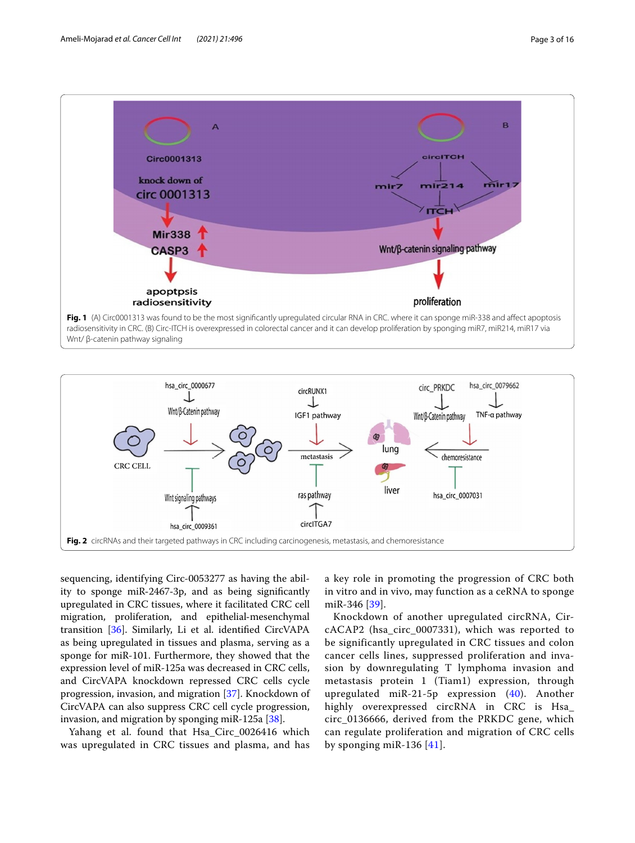

<span id="page-2-0"></span>Wnt/ β-catenin pathway signaling



<span id="page-2-1"></span>sequencing, identifying Circ-0053277 as having the ability to sponge miR‐2467‐3p, and as being signifcantly upregulated in CRC tissues, where it facilitated CRC cell migration, proliferation, and epithelial‐mesenchymal transition [\[36](#page-12-22)]. Similarly, Li et al. identifed CircVAPA as being upregulated in tissues and plasma, serving as a sponge for miR-101. Furthermore, they showed that the expression level of miR-125a was decreased in CRC cells, and CircVAPA knockdown repressed CRC cells cycle progression, invasion, and migration [\[37](#page-12-23)]. Knockdown of CircVAPA can also suppress CRC cell cycle progression, invasion, and migration by sponging miR-125a [\[38](#page-12-24)].

Yahang et al. found that Hsa\_Circ\_0026416 which was upregulated in CRC tissues and plasma, and has

a key role in promoting the progression of CRC both in vitro and in vivo, may function as a ceRNA to sponge miR-346 [[39\]](#page-12-25).

Knockdown of another upregulated circRNA, CircACAP2 (hsa\_circ\_0007331), which was reported to be significantly upregulated in CRC tissues and colon cancer cells lines, suppressed proliferation and invasion by downregulating T lymphoma invasion and metastasis protein 1 (Tiam1) expression, through upregulated miR-21-5p expression ([40](#page-12-26)). Another highly overexpressed circRNA in CRC is Hsa\_ circ\_0136666, derived from the PRKDC gene, which can regulate proliferation and migration of CRC cells by sponging miR-136  $[41]$  $[41]$  $[41]$ .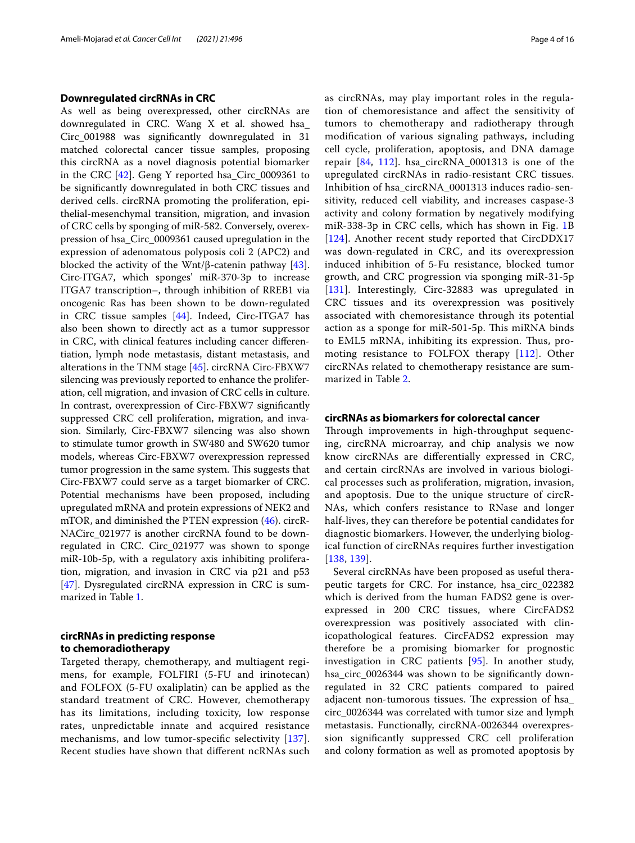### **Downregulated circRNAs in CRC**

As well as being overexpressed, other circRNAs are downregulated in CRC. Wang X et al. showed hsa\_ Circ\_001988 was signifcantly downregulated in 31 matched colorectal cancer tissue samples, proposing this circRNA as a novel diagnosis potential biomarker in the CRC  $[42]$  $[42]$ . Geng Y reported hsa Circ 0009361 to be signifcantly downregulated in both CRC tissues and derived cells. circRNA promoting the proliferation, epithelial-mesenchymal transition, migration, and invasion of CRC cells by sponging of miR-582. Conversely, overexpression of hsa\_Circ\_0009361 caused upregulation in the expression of adenomatous polyposis coli 2 (APC2) and blocked the activity of the Wnt/ $\beta$ -catenin pathway [\[43](#page-12-29)]. Circ-ITGA7, which sponges' miR-370-3p to increase ITGA7 transcription–, through inhibition of RREB1 via oncogenic Ras has been shown to be down-regulated in CRC tissue samples [[44\]](#page-12-30). Indeed, Circ-ITGA7 has also been shown to directly act as a tumor suppressor in CRC, with clinical features including cancer diferentiation, lymph node metastasis, distant metastasis, and alterations in the TNM stage [[45\]](#page-12-31). circRNA Circ-FBXW7 silencing was previously reported to enhance the proliferation, cell migration, and invasion of CRC cells in culture. In contrast, overexpression of Circ-FBXW7 signifcantly suppressed CRC cell proliferation, migration, and invasion. Similarly, Circ-FBXW7 silencing was also shown to stimulate tumor growth in SW480 and SW620 tumor models, whereas Circ-FBXW7 overexpression repressed tumor progression in the same system. This suggests that Circ-FBXW7 could serve as a target biomarker of CRC. Potential mechanisms have been proposed, including upregulated mRNA and protein expressions of NEK2 and mTOR, and diminished the PTEN expression [\(46\)](#page-12-32). circR-NACirc\_021977 is another circRNA found to be downregulated in CRC. Circ\_021977 was shown to sponge miR-10b-5p, with a regulatory axis inhibiting proliferation, migration, and invasion in CRC via p21 and p53 [[47\]](#page-12-33). Dysregulated circRNA expression in CRC is summarized in Table [1](#page-4-0).

## **circRNAs in predicting response to chemoradiotherapy**

Targeted therapy, chemotherapy, and multiagent regimens, for example, FOLFIRI (5-FU and irinotecan) and FOLFOX (5-FU oxaliplatin) can be applied as the standard treatment of CRC. However, chemotherapy has its limitations, including toxicity, low response rates, unpredictable innate and acquired resistance mechanisms, and low tumor-specifc selectivity [[137](#page-14-0)]. Recent studies have shown that diferent ncRNAs such as circRNAs, may play important roles in the regulation of chemoresistance and afect the sensitivity of tumors to chemotherapy and radiotherapy through modifcation of various signaling pathways, including cell cycle, proliferation, apoptosis, and DNA damage repair  $[84, 112]$  $[84, 112]$  $[84, 112]$  $[84, 112]$  $[84, 112]$ . hsa\_circRNA\_0001313 is one of the upregulated circRNAs in radio-resistant CRC tissues. Inhibition of hsa\_circRNA\_0001313 induces radio-sensitivity, reduced cell viability, and increases caspase-3 activity and colony formation by negatively modifying miR-338-3p in CRC cells, which has shown in Fig. [1B](#page-2-0) [[124](#page-14-2)]. Another recent study reported that CircDDX17 was down-regulated in CRC, and its overexpression induced inhibition of 5-Fu resistance, blocked tumor growth, and CRC progression via sponging miR-31-5p [[131](#page-14-3)]. Interestingly, Circ-32883 was upregulated in CRC tissues and its overexpression was positively associated with chemoresistance through its potential action as a sponge for miR-501-5p. This miRNA binds to EML5 mRNA, inhibiting its expression. Thus, promoting resistance to FOLFOX therapy [[112](#page-14-1)]. Other circRNAs related to chemotherapy resistance are summarized in Table [2.](#page-9-0)

## **circRNAs as biomarkers for colorectal cancer**

Through improvements in high-throughput sequencing, circRNA microarray, and chip analysis we now know circRNAs are diferentially expressed in CRC, and certain circRNAs are involved in various biological processes such as proliferation, migration, invasion, and apoptosis. Due to the unique structure of circR-NAs, which confers resistance to RNase and longer half-lives, they can therefore be potential candidates for diagnostic biomarkers. However, the underlying biological function of circRNAs requires further investigation [[138](#page-15-0), [139](#page-15-1)].

Several circRNAs have been proposed as useful therapeutic targets for CRC. For instance, hsa\_circ\_022382 which is derived from the human FADS2 gene is overexpressed in 200 CRC tissues, where CircFADS2 overexpression was positively associated with clinicopathological features. CircFADS2 expression may therefore be a promising biomarker for prognostic investigation in CRC patients [[95](#page-13-1)]. In another study, hsa\_circ\_0026344 was shown to be signifcantly downregulated in 32 CRC patients compared to paired adjacent non-tumorous tissues. The expression of hsa\_ circ\_0026344 was correlated with tumor size and lymph metastasis. Functionally, circRNA-0026344 overexpression signifcantly suppressed CRC cell proliferation and colony formation as well as promoted apoptosis by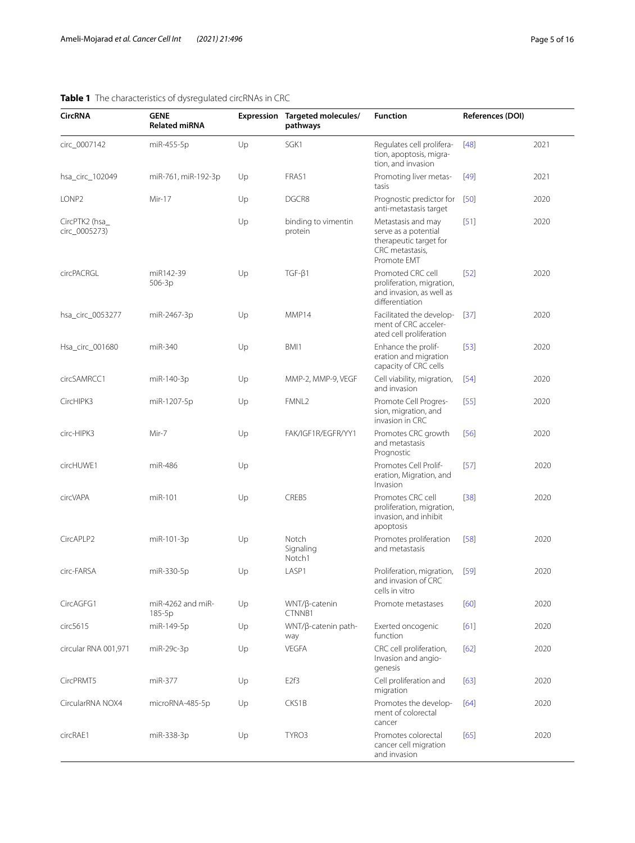#### **CircRNA GENE Related miRNA Expression Targeted molecules/ pathways Function References (DOI)** circ\_0007142 miR-455-5p Up SGK1 Regulates cell proliferation, apoptosis, migration, and invasion [[48](#page-12-34)] 2021 hsa\_circ\_102049 miR-761, miR-192-3p Up FRAS1 Promoting liver metastasis [[49](#page-12-35)] 2021 LONP2 Mir-17 Up DGCR8 Prognostic predictor for anti-metastasis target [[50](#page-12-36)] 2020 CircPTK2 (hsa\_ circ\_0005273) Up binding to vimentin protein Metastasis and may serve as a potential therapeutic target for CRC metastasis, Promote EMT [[51](#page-12-37)] 2020 circPACRGL miR142-39 506-3p Up TGF-β1 Promoted CRC cell proliferation, migration, and invasion, as well as diferentiation [[52](#page-12-38)] 2020 hsa\_circ\_0053277 miR-2467-3p Up MMP14 Facilitated the development of CRC accelerated cell proliferation [[37](#page-12-23)] 2020 Hsa\_circ\_001680 miR-340 Up BMI1 Enhance the proliferation and migration capacity of CRC cells [[53](#page-12-39)] 2020 circSAMRCC1 miR-140-3p Up MMP-2, MMP-9, VEGF Cell viability, migration, and invasion [[54](#page-12-40)] 2020 CircHIPK3 miR-1207-5p Up FMNL2 Promote Cell Progression, migration, and invasion in CRC [[55](#page-12-41)] 2020 circ-HIPK3 Mir-7 Up FAK/IGF1R/EGFR/YY1 Promotes CRC growth and metastasis Prognostic [[56](#page-13-2)] 2020 circHUWE1 miR-486 Up Dramates Cell Proliferation, Migration, and Invasion [[57](#page-13-3)] 2020 circVAPA miR-101 Up CREB5 Promotes CRC cell proliferation, migration, invasion, and inhibit apoptosis [[38](#page-12-24)] 2020 CircAPLP2 miR-101-3p Up Notch Signaling Notch1 Promotes proliferation and metastasis [[58](#page-13-4)] 2020 circ-FARSA miR-330-5p Up LASP1 Proliferation, migration, and invasion of CRC cells in vitro [[59](#page-13-5)] 2020 CircAGFG1 miR-4262 and miR-185-5p Up WNT/β-catenin CTNNB1 Promote metastases [[60](#page-13-6)] 2020 circ5615 miR-149-5p Up WNT/β-catenin path‑ way Exerted oncogenic function [[61](#page-13-7)] 2020 circular RNA 001,971 miR-29c-3p Up VEGFA CRC cell proliferation, Invasion and angio‑ genesis [[62](#page-13-8)] 2020 CircPRMT5 miR-377 Up E2f3 Cell proliferation and migration [[63](#page-13-9)] 2020 CircularRNA NOX4 microRNA-485-5p Up CKS1B Promotes the development of colorectal cancer [[64](#page-13-10)] 2020 circRAE1 miR-338-3p Up TYRO3 Promotes colorectal cancer cell migration and invasion [[65](#page-13-11)] 2020

## <span id="page-4-0"></span>**Table 1** The characteristics of dysregulated circRNAs in CRC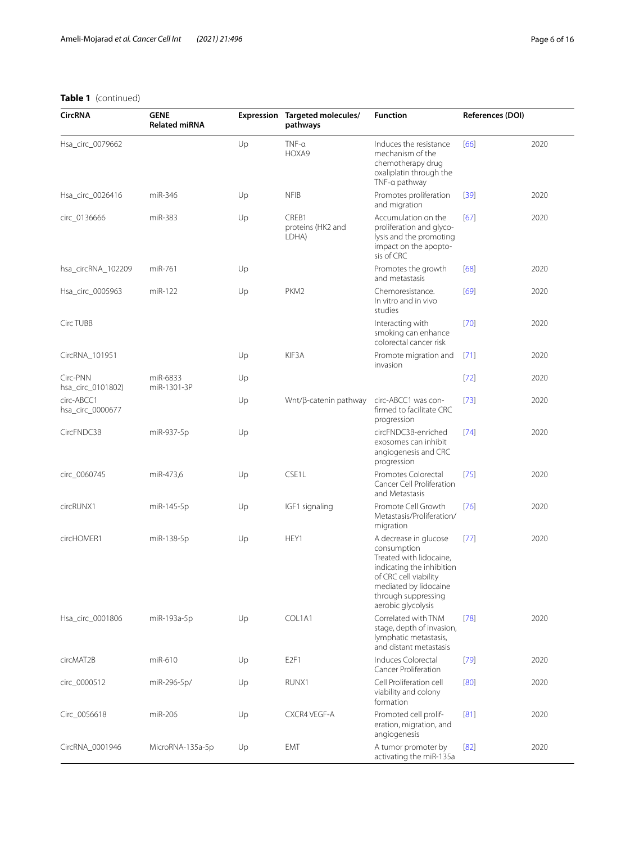| <b>CircRNA</b>                 | <b>GENE</b><br><b>Related miRNA</b> |    | Expression Targeted molecules/<br>pathways | <b>Function</b>                                                                                                                                                                             | References (DOI) |      |
|--------------------------------|-------------------------------------|----|--------------------------------------------|---------------------------------------------------------------------------------------------------------------------------------------------------------------------------------------------|------------------|------|
| Hsa_circ_0079662               |                                     | Up | $TNF-a$<br>HOXA9                           | Induces the resistance<br>mechanism of the<br>chemotherapy drug<br>oxaliplatin through the<br>TNF-a pathway                                                                                 | [66]             | 2020 |
| Hsa_circ_0026416               | miR-346                             | Up | <b>NFIB</b>                                | Promotes proliferation<br>and migration                                                                                                                                                     | $[39]$           | 2020 |
| circ_0136666                   | miR-383                             | Up | CREB1<br>proteins (HK2 and<br>LDHA)        | Accumulation on the<br>proliferation and glyco-<br>lysis and the promoting<br>impact on the apopto-<br>sis of CRC                                                                           | [67]             | 2020 |
| hsa_circRNA_102209             | miR-761                             | Up |                                            | Promotes the growth<br>and metastasis                                                                                                                                                       | [68]             | 2020 |
| Hsa_circ_0005963               | miR-122                             | Up | PKM <sub>2</sub>                           | Chemoresistance.<br>In vitro and in vivo<br>studies                                                                                                                                         | [69]             | 2020 |
| Circ TUBB                      |                                     |    |                                            | Interacting with<br>smoking can enhance<br>colorectal cancer risk                                                                                                                           | $[70]$           | 2020 |
| CircRNA_101951                 |                                     | Up | KIF3A                                      | Promote migration and<br>invasion                                                                                                                                                           | $[71]$           | 2020 |
| Circ-PNN<br>hsa_circ_0101802)  | miR-6833<br>miR-1301-3P             | Up |                                            |                                                                                                                                                                                             | $[72]$           | 2020 |
| circ-ABCC1<br>hsa_circ_0000677 |                                     | Up | Wnt/β-catenin pathway                      | circ-ABCC1 was con-<br>firmed to facilitate CRC<br>progression                                                                                                                              | $[73]$           | 2020 |
| CircFNDC3B                     | miR-937-5p                          | Up |                                            | circFNDC3B-enriched<br>exosomes can inhibit<br>angiogenesis and CRC<br>progression                                                                                                          | [74]             | 2020 |
| circ_0060745                   | miR-473,6                           | Up | CSE1L                                      | Promotes Colorectal<br>Cancer Cell Proliferation<br>and Metastasis                                                                                                                          | [75]             | 2020 |
| circRUNX1                      | miR-145-5p                          | Up | IGF1 signaling                             | Promote Cell Growth<br>Metastasis/Proliferation/<br>migration                                                                                                                               | $[76]$           | 2020 |
| circHOMER1                     | miR-138-5p                          | Up | HEY1                                       | A decrease in glucose<br>consumption<br>Treated with lidocaine,<br>indicating the inhibition<br>of CRC cell viability<br>mediated by lidocaine<br>through suppressing<br>aerobic glycolysis | $[77]$           | 2020 |
| Hsa_circ_0001806               | miR-193a-5p                         | Up | COL1A1                                     | Correlated with TNM<br>stage, depth of invasion,<br>lymphatic metastasis,<br>and distant metastasis                                                                                         | $[78]$           | 2020 |
| circMAT2B                      | miR-610                             | Up | E <sub>2F1</sub>                           | Induces Colorectal<br>Cancer Proliferation                                                                                                                                                  | $[79]$           | 2020 |
| circ_0000512                   | miR-296-5p/                         | Up | RUNX1                                      | Cell Proliferation cell<br>viability and colony<br>formation                                                                                                                                | [80]             | 2020 |
| Circ_0056618                   | miR-206                             | Up | CXCR4 VEGF-A                               | Promoted cell prolif-<br>eration, migration, and<br>angiogenesis                                                                                                                            | [81]             | 2020 |
| CircRNA_0001946                | MicroRNA-135a-5p                    | Up | <b>EMT</b>                                 | A tumor promoter by<br>activating the miR-135a                                                                                                                                              | $[82]$           | 2020 |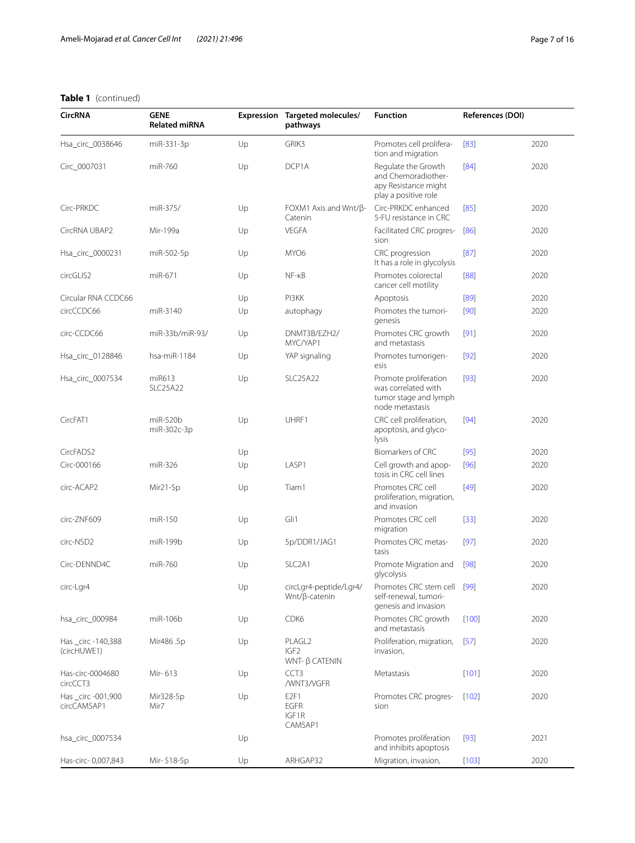| <b>CircRNA</b>                   | <b>GENE</b><br><b>Related miRNA</b> |    | Expression Targeted molecules/<br>pathways                      | <b>Function</b>                                                                            | References (DOI) |      |
|----------------------------------|-------------------------------------|----|-----------------------------------------------------------------|--------------------------------------------------------------------------------------------|------------------|------|
| Hsa_circ_0038646                 | miR-331-3p                          | Up | GRIK3                                                           | Promotes cell prolifera-<br>tion and migration                                             | [83]             | 2020 |
| Circ_0007031                     | miR-760                             | Up | DCP1A                                                           | Regulate the Growth<br>and Chemoradiother-<br>apy Resistance might<br>play a positive role | [84]             | 2020 |
| Circ-PRKDC                       | miR-375/                            | Up | FOXM1 Axis and Wnt/ $\beta$ -<br>Catenin                        | Circ-PRKDC enhanced<br>5-FU resistance in CRC                                              | [85]             | 2020 |
| CircRNA UBAP2                    | Mir-199a                            | Up | <b>VEGFA</b>                                                    | Facilitated CRC progres-<br>sion                                                           | [86]             | 2020 |
| Hsa_circ_0000231                 | miR-502-5p                          | Up | MYO6                                                            | CRC progression<br>It has a role in glycolysis                                             | $[87]$           | 2020 |
| circGLIS2                        | miR-671                             | Up | $NF - KB$                                                       | Promotes colorectal<br>cancer cell motility                                                | [88]             | 2020 |
| Circular RNA CCDC66              |                                     | Up | PI3KK                                                           | Apoptosis                                                                                  | [89]             | 2020 |
| circCCDC66                       | miR-3140                            | Up | autophagy                                                       | Promotes the tumori-<br>genesis                                                            | [90]             | 2020 |
| circ-CCDC66                      | miR-33b/miR-93/                     | Up | DNMT3B/EZH2/<br>MYC/YAP1                                        | Promotes CRC growth<br>and metastasis                                                      | [91]             | 2020 |
| Hsa_circ_0128846                 | hsa-miR-1184                        | Up | YAP signaling                                                   | Promotes tumorigen-<br>esis                                                                | $[92]$           | 2020 |
| Hsa_circ_0007534                 | miR613<br><b>SLC25A22</b>           | Up | <b>SLC25A22</b>                                                 | Promote proliferation<br>was correlated with<br>tumor stage and lymph<br>node metastasis   | $[93]$           | 2020 |
| CircFAT1                         | miR-520b<br>miR-302c-3p             | Up | UHRF1                                                           | CRC cell proliferation,<br>apoptosis, and glyco-<br>lysis                                  | $[94]$           | 2020 |
| CircFADS2                        |                                     | Up |                                                                 | Biomarkers of CRC                                                                          | $[95]$           | 2020 |
| Circ-000166                      | miR-326                             | Up | LASP1                                                           | Cell growth and apop-<br>tosis in CRC cell lines                                           | [96]             | 2020 |
| circ-ACAP2                       | Mir21-5p                            | Up | Tiam1                                                           | Promotes CRC cell<br>proliferation, migration,<br>and invasion                             | $[49]$           | 2020 |
| circ-ZNF609                      | miR-150                             | Up | Gli1                                                            | Promotes CRC cell<br>migration                                                             | $[33]$           | 2020 |
| circ-NSD2                        | miR-199b                            | Up | 5p/DDR1/JAG1                                                    | Promotes CRC metas-<br>tasis                                                               | $[97]$           | 2020 |
| Circ-DENND4C                     | miR-760                             | Up | SLC <sub>2</sub> A1                                             | Promote Migration and<br>glycolysis                                                        | [98]             | 2020 |
| circ-Lgr4                        |                                     | Up | circLgr4-peptide/Lgr4/<br>Wnt/β-catenin                         | Promotes CRC stem cell [99]<br>self-renewal, tumori-<br>genesis and invasion               |                  | 2020 |
| hsa_circ_000984                  | miR-106b                            | Up | CDK6                                                            | Promotes CRC growth<br>and metastasis                                                      | $[100]$          | 2020 |
| Has _circ-140,388<br>(circHUWE1) | Mir486.5p                           | Up | PLAGL <sub>2</sub><br>IGF <sub>2</sub><br><b>WNT- β CATENIN</b> | Proliferation, migration,<br>invasion,                                                     | $[57]$           | 2020 |
| Has-circ-0004680<br>circCCT3     | Mir-613                             | Up | CCT <sub>3</sub><br>/WNT3/VGFR                                  | Metastasis                                                                                 | [101]            | 2020 |
| Has circ-001,900<br>circCAMSAP1  | Mir328-5p<br>Mir7                   | Up | E <sub>2F1</sub><br><b>EGFR</b><br>IGF1R<br>CAMSAP1             | Promotes CRC progres-<br>sion                                                              | $[102]$          | 2020 |
| hsa_circ_0007534                 |                                     | Up |                                                                 | Promotes proliferation<br>and inhibits apoptosis                                           | $[93]$           | 2021 |
| Has-circ-0,007,843               | Mir-518-5p                          | Up | ARHGAP32                                                        | Migration, invasion,                                                                       | $[103]$          | 2020 |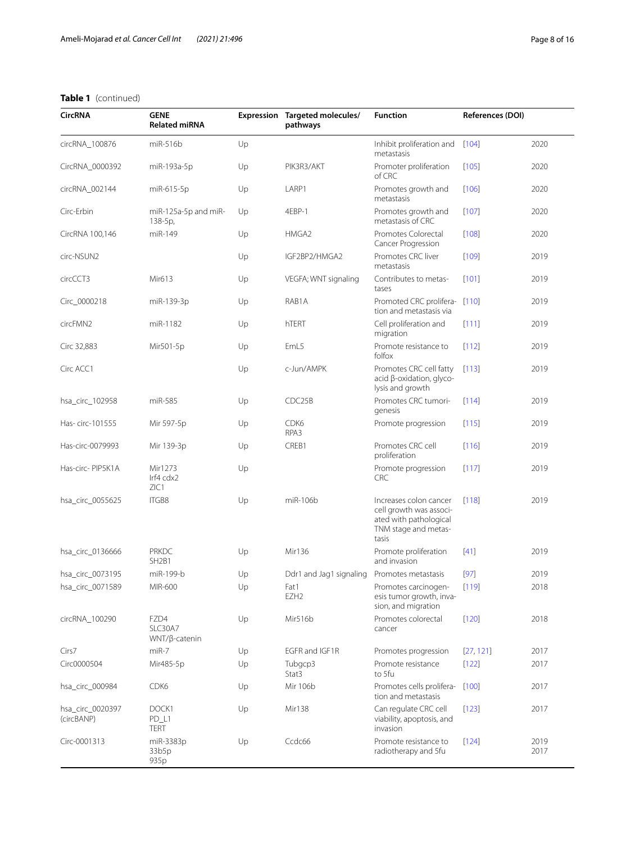| <b>CircRNA</b>                 | <b>GENE</b><br><b>Related miRNA</b>            |    | Expression Targeted molecules/<br>pathways | <b>Function</b>                                                                                              | References (DOI) |              |
|--------------------------------|------------------------------------------------|----|--------------------------------------------|--------------------------------------------------------------------------------------------------------------|------------------|--------------|
| circRNA_100876                 | miR-516b                                       | Up |                                            | Inhibit proliferation and<br>metastasis                                                                      | $[104]$          | 2020         |
| CircRNA_0000392                | miR-193a-5p                                    | Up | PIK3R3/AKT                                 | Promoter proliferation<br>of CRC                                                                             | [105]            | 2020         |
| circRNA_002144                 | miR-615-5p                                     | Up | LARP1                                      | Promotes growth and<br>metastasis                                                                            | [106]            | 2020         |
| Circ-Erbin                     | miR-125a-5p and miR-<br>138-5p,                | Up | 4EBP-1                                     | Promotes growth and<br>metastasis of CRC                                                                     | $[107]$          | 2020         |
| CircRNA 100,146                | miR-149                                        | Up | HMGA2                                      | Promotes Colorectal<br>Cancer Progression                                                                    | [108]            | 2020         |
| circ-NSUN2                     |                                                | Up | IGF2BP2/HMGA2                              | Promotes CRC liver<br>metastasis                                                                             | [109]            | 2019         |
| circCCT3                       | Mir613                                         | Up | VEGFA; WNT signaling                       | Contributes to metas-<br>tases                                                                               | [101]            | 2019         |
| Circ_0000218                   | miR-139-3p                                     | Up | RAB1A                                      | Promoted CRC prolifera-<br>tion and metastasis via                                                           | [110]            | 2019         |
| circFMN2                       | miR-1182                                       | Up | hTERT                                      | Cell proliferation and<br>migration                                                                          | [111]            | 2019         |
| Circ 32,883                    | Mir501-5p                                      | Up | EmL5                                       | Promote resistance to<br>folfox                                                                              | [112]            | 2019         |
| Circ ACC1                      |                                                | Up | c-Jun/AMPK                                 | Promotes CRC cell fatty<br>acid β-oxidation, glyco-<br>lysis and growth                                      | [113]            | 2019         |
| hsa_circ_102958                | miR-585                                        | Up | CDC25B                                     | Promotes CRC tumori-<br>genesis                                                                              | [114]            | 2019         |
| Has-circ-101555                | Mir 597-5p                                     | Up | CDK6<br>RPA3                               | Promote progression                                                                                          | [115]            | 2019         |
| Has-circ-0079993               | Mir 139-3p                                     | Up | CREB1                                      | Promotes CRC cell<br>proliferation                                                                           | [116]            | 2019         |
| Has-circ- PIP5K1A              | Mir1273<br>Irf4 cdx2<br>ZIC1                   | Up |                                            | Promote progression<br><b>CRC</b>                                                                            | [117]            | 2019         |
| hsa_circ_0055625               | ITGB8                                          | Up | miR-106b                                   | Increases colon cancer<br>cell growth was associ-<br>ated with pathological<br>TNM stage and metas-<br>tasis | [118]            | 2019         |
| hsa_circ_0136666               | <b>PRKDC</b><br>SH <sub>2</sub> B <sub>1</sub> | Up | Mir136                                     | Promote proliferation<br>and invasion                                                                        | $[41]$           | 2019         |
| hsa_circ_0073195               | miR-199-b                                      | Up | Ddr1 and Jag1 signaling                    | Promotes metastasis                                                                                          | $[97]$           | 2019         |
| hsa_circ_0071589               | MIR-600                                        | Up | Fat1<br>EZH <sub>2</sub>                   | Promotes carcinogen-<br>esis tumor growth, inva-<br>sion, and migration                                      | [119]            | 2018         |
| circRNA_100290                 | FZD4<br>SLC30A7<br>WNT/β-catenin               | Up | Mir516b                                    | Promotes colorectal<br>cancer                                                                                | [120]            | 2018         |
| Cirs7                          | miR-7                                          | Up | EGFR and IGF1R                             | Promotes progression                                                                                         | [27, 121]        | 2017         |
| Circ0000504                    | Mir485-5p                                      | Up | Tubgcp3<br>Stat3                           | Promote resistance<br>to 5fu                                                                                 | $[122]$          | 2017         |
| hsa_circ_000984                | CDK6                                           | Up | Mir 106b                                   | Promotes cells prolifera-<br>tion and metastasis                                                             | [100]            | 2017         |
| hsa_circ_0020397<br>(circBANP) | DOCK1<br>PD_L1<br><b>TERT</b>                  | Up | Mir138                                     | Can regulate CRC cell<br>viability, apoptosis, and<br>invasion                                               | $[123]$          | 2017         |
| Circ-0001313                   | miR-3383p<br>33b5p<br>935p                     | Up | Ccdc66                                     | Promote resistance to<br>radiotherapy and 5fu                                                                | $[124]$          | 2019<br>2017 |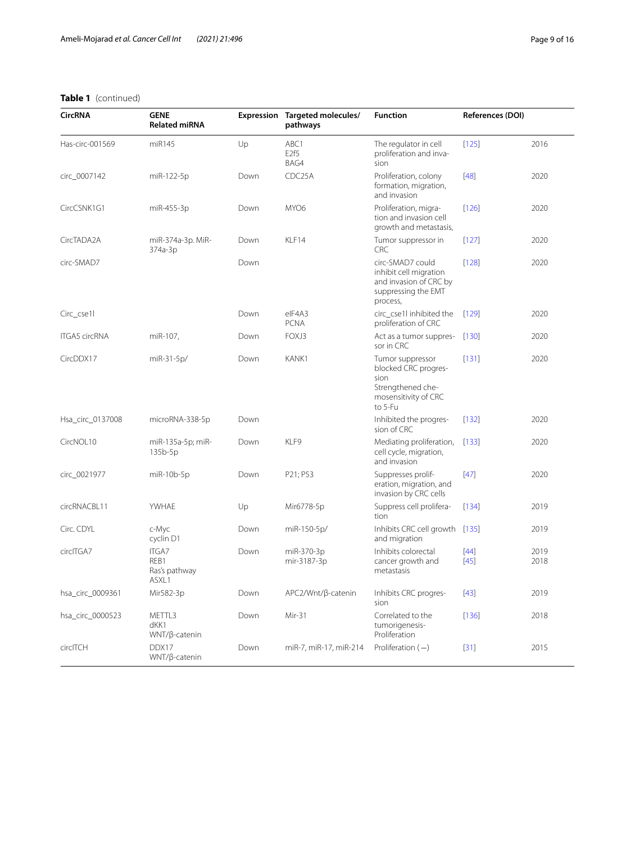| <b>CircRNA</b>       | <b>GENE</b><br><b>Related miRNA</b>            | Expression | Targeted molecules/<br>pathways  | <b>Function</b>                                                                                          | References (DOI) |              |
|----------------------|------------------------------------------------|------------|----------------------------------|----------------------------------------------------------------------------------------------------------|------------------|--------------|
| Has-circ-001569      | miR145                                         | Up         | ABC1<br>E <sub>2f5</sub><br>BAG4 | The regulator in cell<br>proliferation and inva-<br>sion                                                 | $[125]$          | 2016         |
| circ_0007142         | miR-122-5p                                     | Down       | CDC25A                           | Proliferation, colony<br>formation, migration,<br>and invasion                                           | $[48]$           | 2020         |
| CircCSNK1G1          | miR-455-3p                                     | Down       | MYO6                             | Proliferation, migra-<br>tion and invasion cell<br>growth and metastasis,                                | [126]            | 2020         |
| CircTADA2A           | miR-374a-3p. MiR-<br>374a-3p                   | Down       | KLF14                            | Tumor suppressor in<br><b>CRC</b>                                                                        | $[127]$          | 2020         |
| circ-SMAD7           |                                                | Down       |                                  | circ-SMAD7 could<br>inhibit cell migration<br>and invasion of CRC by<br>suppressing the EMT<br>process,  | [128]            | 2020         |
| Circ_cse1l           |                                                | Down       | elF4A3<br><b>PCNA</b>            | circ_cse1l inhibited the<br>proliferation of CRC                                                         | [129]            | 2020         |
| <b>ITGA5 circRNA</b> | miR-107,                                       | Down       | FOXJ3                            | Act as a tumor suppres-<br>sor in CRC                                                                    | [130]            | 2020         |
| CircDDX17            | miR-31-5p/                                     | Down       | KANK1                            | Tumor suppressor<br>blocked CRC progres-<br>sion<br>Strengthened che-<br>mosensitivity of CRC<br>to 5-Fu | $[131]$          | 2020         |
| Hsa_circ_0137008     | microRNA-338-5p                                | Down       |                                  | Inhibited the progres-<br>sion of CRC                                                                    | $[132]$          | 2020         |
| CircNOL10            | miR-135a-5p; miR-<br>$135b-5p$                 | Down       | KLF9                             | Mediating proliferation,<br>cell cycle, migration,<br>and invasion                                       | [133]            | 2020         |
| circ_0021977         | miR-10b-5p                                     | Down       | P21; P53                         | Suppresses prolif-<br>eration, migration, and<br>invasion by CRC cells                                   | $[47]$           | 2020         |
| circRNACBL11         | YWHAE                                          | Up         | Mir6778-5p                       | Suppress cell prolifera-<br>tion                                                                         | $[134]$          | 2019         |
| Circ. CDYL           | c-Myc<br>cyclin D1                             | Down       | miR-150-5p/                      | Inhibits CRC cell growth<br>and migration                                                                | $[135]$          | 2019         |
| circlTGA7            | <b>ITGA7</b><br>REB1<br>Ras's pathway<br>ASXL1 | Down       | miR-370-3p<br>mir-3187-3p        | Inhibits colorectal<br>cancer growth and<br>metastasis                                                   | $[44]$<br>$[45]$ | 2019<br>2018 |
| hsa_circ_0009361     | Mir582-3p                                      | Down       | APC2/Wnt/β-catenin               | Inhibits CRC progres-<br>sion                                                                            | $[43]$           | 2019         |
| hsa_circ_0000523     | METTL3<br>dKK1<br>$WNT/B$ -catenin             | Down       | Mir-31                           | Correlated to the<br>tumorigenesis-<br>Proliferation                                                     | [136]            | 2018         |
| circlTCH             | DDX17<br>WNT/β-catenin                         | Down       | miR-7, miR-17, miR-214           | Proliferation $(-)$                                                                                      | $[31]$           | 2015         |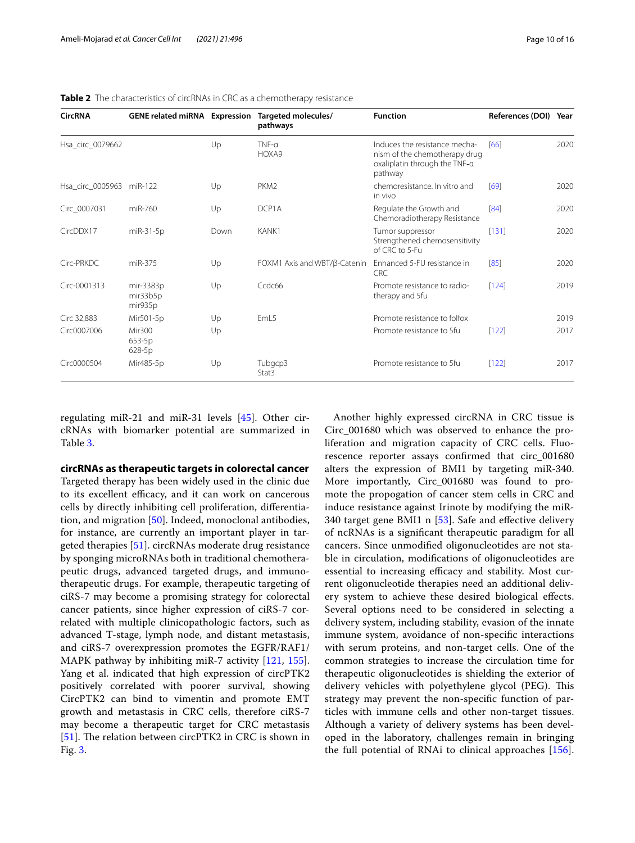| <b>CircRNA</b>           | <b>GENE related miRNA Expression</b> |      | Targeted molecules/<br>pathways | <b>Function</b>                                                                                            | <b>References (DOI)</b> | Year |
|--------------------------|--------------------------------------|------|---------------------------------|------------------------------------------------------------------------------------------------------------|-------------------------|------|
| Hsa_circ_0079662         |                                      | Up   | $TNF-\alpha$<br>HOXA9           | Induces the resistance mecha-<br>nism of the chemotherapy drug<br>oxaliplatin through the TNF-a<br>pathway | [66]                    | 2020 |
| Hsa_circ_0005963 miR-122 |                                      | Up   | PKM <sub>2</sub>                | chemoresistance. In vitro and<br>in vivo                                                                   | [69]                    | 2020 |
| Circ 0007031             | miR-760                              | Up   | DCP1A                           | Regulate the Growth and<br>Chemoradiotherapy Resistance                                                    | [84]                    | 2020 |
| CircDDX17                | miR-31-5p                            | Down | KANK1                           | Tumor suppressor<br>Strengthened chemosensitivity<br>of CRC to 5-Fu                                        | [131]                   | 2020 |
| Circ-PRKDC               | miR-375                              | Up   | FOXM1 Axis and WBT/β-Catenin    | Enhanced 5-FU resistance in<br>CRC                                                                         | [85]                    | 2020 |
| Circ-0001313             | mir-3383p<br>mir33b5p<br>mir935p     | Up   | Ccdc66                          | Promote resistance to radio-<br>therapy and 5fu                                                            | [124]                   | 2019 |
| Circ 32,883              | Mir501-5p                            | Up   | EmL5                            | Promote resistance to folfox                                                                               |                         | 2019 |
| Circ0007006              | Mir300<br>653-5p<br>628-5p           | Up   |                                 | Promote resistance to 5fu                                                                                  | $[122]$                 | 2017 |
| Circ0000504              | Mir485-5p                            | Up   | Tubgcp3<br>Stat3                | Promote resistance to 5fu                                                                                  | [122]                   | 2017 |

<span id="page-9-0"></span>**Table 2** The characteristics of circRNAs in CRC as a chemotherapy resistance

regulating miR-21 and miR-31 levels [[45\]](#page-12-31). Other circRNAs with biomarker potential are summarized in Table [3](#page-10-0).

**circRNAs as therapeutic targets in colorectal cancer**

Targeted therapy has been widely used in the clinic due to its excellent efficacy, and it can work on cancerous cells by directly inhibiting cell proliferation, diferentiation, and migration [\[50](#page-12-36)]. Indeed, monoclonal antibodies, for instance, are currently an important player in targeted therapies [\[51](#page-12-37)]. circRNAs moderate drug resistance by sponging microRNAs both in traditional chemotherapeutic drugs, advanced targeted drugs, and immunotherapeutic drugs. For example, therapeutic targeting of ciRS-7 may become a promising strategy for colorectal cancer patients, since higher expression of ciRS-7 correlated with multiple clinicopathologic factors, such as advanced T-stage, lymph node, and distant metastasis, and ciRS-7 overexpression promotes the EGFR/RAF1/ MAPK pathway by inhibiting miR-7 activity [[121](#page-14-26), [155](#page-15-2)]. Yang et al. indicated that high expression of circPTK2 positively correlated with poorer survival, showing CircPTK2 can bind to vimentin and promote EMT growth and metastasis in CRC cells, therefore ciRS-7 may become a therapeutic target for CRC metastasis [[51\]](#page-12-37). The relation between circ $PTK2$  in CRC is shown in Fig. [3](#page-11-12).

Another highly expressed circRNA in CRC tissue is Circ\_001680 which was observed to enhance the proliferation and migration capacity of CRC cells. Fluorescence reporter assays confrmed that circ\_001680 alters the expression of BMI1 by targeting miR-340. More importantly, Circ\_001680 was found to promote the propogation of cancer stem cells in CRC and induce resistance against Irinote by modifying the miR-340 target gene BMI1 n [[53\]](#page-12-39). Safe and efective delivery of ncRNAs is a signifcant therapeutic paradigm for all cancers. Since unmodifed oligonucleotides are not stable in circulation, modifcations of oligonucleotides are essential to increasing efficacy and stability. Most current oligonucleotide therapies need an additional delivery system to achieve these desired biological efects. Several options need to be considered in selecting a delivery system, including stability, evasion of the innate immune system, avoidance of non-specifc interactions with serum proteins, and non-target cells. One of the common strategies to increase the circulation time for therapeutic oligonucleotides is shielding the exterior of delivery vehicles with polyethylene glycol (PEG). This strategy may prevent the non-specifc function of particles with immune cells and other non-target tissues. Although a variety of delivery systems has been developed in the laboratory, challenges remain in bringing the full potential of RNAi to clinical approaches [\[156](#page-15-3)].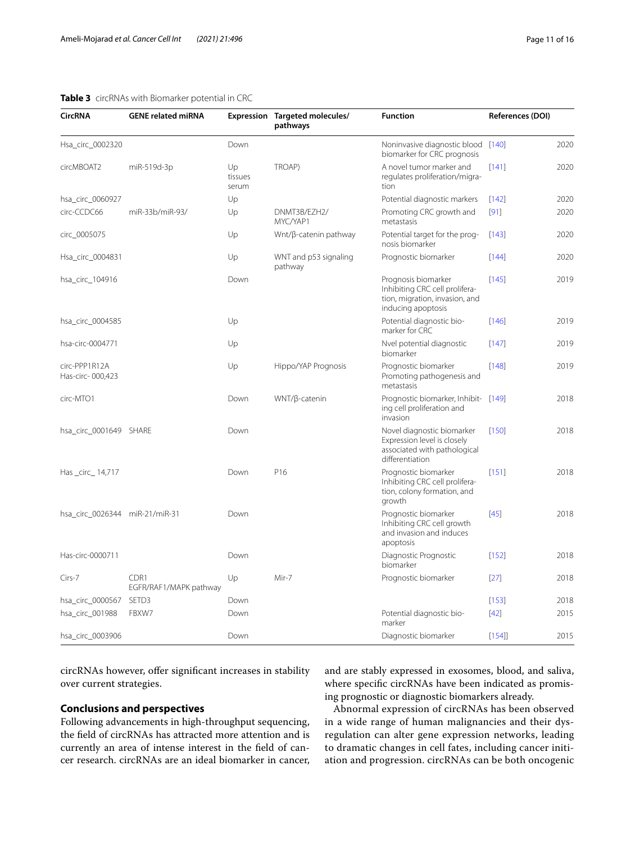#### <span id="page-10-0"></span>**Table 3** circRNAs with Biomarker potential in CRC

| <b>CircRNA</b>                    | <b>GENE related miRNA</b>      |                        | Expression Targeted molecules/<br>pathways | <b>Function</b>                                                                                               | References (DOI) |      |
|-----------------------------------|--------------------------------|------------------------|--------------------------------------------|---------------------------------------------------------------------------------------------------------------|------------------|------|
| Hsa_circ_0002320                  |                                | Down                   |                                            | Noninvasive diagnostic blood [140]<br>biomarker for CRC prognosis                                             |                  | 2020 |
| circMBOAT2                        | miR-519d-3p                    | Up<br>tissues<br>serum | TROAP)                                     | A novel tumor marker and<br>regulates proliferation/migra-<br>tion                                            | $[141]$          | 2020 |
| hsa_circ_0060927                  |                                | Up                     |                                            | Potential diagnostic markers                                                                                  | $[142]$          | 2020 |
| circ-CCDC66                       | miR-33b/miR-93/                | Up                     | DNMT3B/EZH2/<br>MYC/YAP1                   | Promoting CRC growth and<br>metastasis                                                                        | $[91]$           | 2020 |
| circ_0005075                      |                                | Up                     | Wnt/β-catenin pathway                      | Potential target for the prog-<br>nosis biomarker                                                             | [143]            | 2020 |
| Hsa_circ_0004831                  |                                | Up                     | WNT and p53 signaling<br>pathway           | Prognostic biomarker                                                                                          | [144]            | 2020 |
| hsa_circ_104916                   |                                | Down                   |                                            | Prognosis biomarker<br>Inhibiting CRC cell prolifera-<br>tion, migration, invasion, and<br>inducing apoptosis | $[145]$          | 2019 |
| hsa_circ_0004585                  |                                | Up                     |                                            | Potential diagnostic bio-<br>marker for CRC                                                                   | $[146]$          | 2019 |
| hsa-circ-0004771                  |                                | Up                     |                                            | Nvel potential diagnostic<br>biomarker                                                                        | $[147]$          | 2019 |
| circ-PPP1R12A<br>Has-circ-000,423 |                                | Up                     | Hippo/YAP Prognosis                        | Prognostic biomarker<br>Promoting pathogenesis and<br>metastasis                                              | [148]            | 2019 |
| circ-MTO1                         |                                | Down                   | WNT/β-catenin                              | Prognostic biomarker, Inhibit- [149]<br>ing cell proliferation and<br>invasion                                |                  | 2018 |
| hsa_circ_0001649 SHARE            |                                | Down                   |                                            | Novel diagnostic biomarker<br>Expression level is closely<br>associated with pathological<br>differentiation  | $[150]$          | 2018 |
| Has _circ_ 14,717                 |                                | Down                   | P16                                        | Prognostic biomarker<br>Inhibiting CRC cell prolifera-<br>tion, colony formation, and<br>growth               | [151]            | 2018 |
| hsa_circ_0026344 miR-21/miR-31    |                                | Down                   |                                            | Prognostic biomarker<br>Inhibiting CRC cell growth<br>and invasion and induces<br>apoptosis                   | $[45]$           | 2018 |
| Has-circ-0000711                  |                                | Down                   |                                            | Diagnostic Prognostic<br>biomarker                                                                            | $[152]$          | 2018 |
| Cirs-7                            | CDR1<br>EGFR/RAF1/MAPK pathway | Up                     | Mir-7                                      | Prognostic biomarker                                                                                          | $[27]$           | 2018 |
| hsa_circ_0000567                  | SETD3                          | Down                   |                                            |                                                                                                               | $[153]$          | 2018 |
| hsa_circ_001988                   | FBXW7                          | Down                   |                                            | Potential diagnostic bio-<br>marker                                                                           | $[42]$           | 2015 |
| hsa_circ_0003906                  |                                | Down                   |                                            | Diagnostic biomarker                                                                                          | $[154]$          | 2015 |

circRNAs however, offer significant increases in stability over current strategies.

# **Conclusions and perspectives**

Following advancements in high-throughput sequencing, the feld of circRNAs has attracted more attention and is currently an area of intense interest in the feld of cancer research. circRNAs are an ideal biomarker in cancer,

and are stably expressed in exosomes, blood, and saliva, where specifc circRNAs have been indicated as promising prognostic or diagnostic biomarkers already.

Abnormal expression of circRNAs has been observed in a wide range of human malignancies and their dysregulation can alter gene expression networks, leading to dramatic changes in cell fates, including cancer initiation and progression. circRNAs can be both oncogenic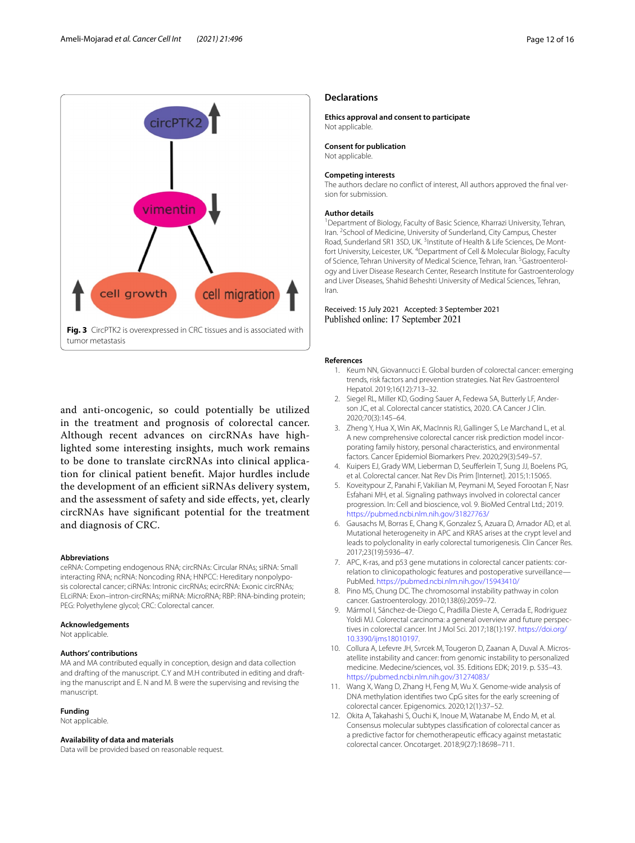

<span id="page-11-12"></span>and anti-oncogenic, so could potentially be utilized in the treatment and prognosis of colorectal cancer. Although recent advances on circRNAs have highlighted some interesting insights, much work remains to be done to translate circRNAs into clinical application for clinical patient beneft. Major hurdles include the development of an efficient siRNAs delivery system, and the assessment of safety and side efects, yet, clearly circRNAs have signifcant potential for the treatment and diagnosis of CRC.

#### **Abbreviations**

ceRNA: Competing endogenous RNA; circRNAs: Circular RNAs; siRNA: Small interacting RNA; ncRNA: Noncoding RNA; HNPCC: Hereditary nonpolyposis colorectal cancer; ciRNAs: Intronic circRNAs; ecircRNA: Exonic circRNAs; ELciRNA: Exon–intron-circRNAs; miRNA: MicroRNA; RBP: RNA-binding protein; PEG: Polyethylene glycol; CRC: Colorectal cancer.

#### **Acknowledgements**

Not applicable.

#### **Authors' contributions**

MA and MA contributed equally in conception, design and data collection and drafting of the manuscript. C.Y and M.H contributed in editing and drafting the manuscript and E. N and M. B were the supervising and revising the manuscript.

#### **Funding**

Not applicable.

#### **Availability of data and materials**

Data will be provided based on reasonable request.

#### **Declarations**

**Ethics approval and consent to participate** Not applicable.

# **Consent for publication**

Not applicable.

#### **Competing interests**

The authors declare no conflict of interest, All authors approved the final version for submission.

#### **Author details**

<sup>1</sup> Department of Biology, Faculty of Basic Science, Kharrazi University, Tehran, Iran. <sup>2</sup> School of Medicine, University of Sunderland, City Campus, Chester Road, Sunderland SR1 3SD, UK.<sup>3</sup> Institute of Health & Life Sciences, De Montfort University, Leicester, UK. <sup>4</sup> Department of Cell & Molecular Biology, Faculty of Science, Tehran University of Medical Science, Tehran, Iran. <sup>5</sup> Gastroenterology and Liver Disease Research Center, Research Institute for Gastroenterology and Liver Diseases, Shahid Beheshti University of Medical Sciences, Tehran, Iran.

#### Received: 15 July 2021 Accepted: 3 September 2021 Published online: 17 September 2021

#### <span id="page-11-0"></span>**References**

- Keum NN, Giovannucci E. Global burden of colorectal cancer: emerging trends, risk factors and prevention strategies. Nat Rev Gastroenterol Hepatol. 2019;16(12):713–32.
- <span id="page-11-1"></span>2. Siegel RL, Miller KD, Goding Sauer A, Fedewa SA, Butterly LF, Anderson JC, et al. Colorectal cancer statistics, 2020. CA Cancer J Clin. 2020;70(3):145–64.
- <span id="page-11-2"></span>3. Zheng Y, Hua X, Win AK, MacInnis RJ, Gallinger S, Le Marchand L, et al. A new comprehensive colorectal cancer risk prediction model incorporating family history, personal characteristics, and environmental factors. Cancer Epidemiol Biomarkers Prev. 2020;29(3):549–57.
- <span id="page-11-3"></span>4. Kuipers EJ, Grady WM, Lieberman D, Seuferlein T, Sung JJ, Boelens PG, et al. Colorectal cancer. Nat Rev Dis Prim [Internet]. 2015;1:15065.
- <span id="page-11-4"></span>5. Koveitypour Z, Panahi F, Vakilian M, Peymani M, Seyed Forootan F, Nasr Esfahani MH, et al. Signaling pathways involved in colorectal cancer progression. In: Cell and bioscience, vol. 9. BioMed Central Ltd.; 2019. <https://pubmed.ncbi.nlm.nih.gov/31827763/>
- <span id="page-11-5"></span>6. Gausachs M, Borras E, Chang K, Gonzalez S, Azuara D, Amador AD, et al. Mutational heterogeneity in APC and KRAS arises at the crypt level and leads to polyclonality in early colorectal tumorigenesis. Clin Cancer Res. 2017;23(19):5936–47.
- <span id="page-11-6"></span>7. APC, K-ras, and p53 gene mutations in colorectal cancer patients: correlation to clinicopathologic features and postoperative surveillance— PubMed.<https://pubmed.ncbi.nlm.nih.gov/15943410/>
- <span id="page-11-7"></span>8. Pino MS, Chung DC. The chromosomal instability pathway in colon cancer. Gastroenterology. 2010;138(6):2059–72.
- <span id="page-11-8"></span>9. Mármol I, Sánchez-de-Diego C, Pradilla Dieste A, Cerrada E, Rodriguez Yoldi MJ. Colorectal carcinoma: a general overview and future perspectives in colorectal cancer. Int J Mol Sci. 2017;18(1):197. [https://doi.org/](https://doi.org/10.3390/ijms18010197) [10.3390/ijms18010197.](https://doi.org/10.3390/ijms18010197)
- <span id="page-11-9"></span>10. Collura A, Lefevre JH, Svrcek M, Tougeron D, Zaanan A, Duval A. Microsatellite instability and cancer: from genomic instability to personalized medicine. Medecine/sciences, vol. 35. Editions EDK; 2019. p. 535–43. <https://pubmed.ncbi.nlm.nih.gov/31274083/>
- <span id="page-11-10"></span>11. Wang X, Wang D, Zhang H, Feng M, Wu X. Genome-wide analysis of DNA methylation identifes two CpG sites for the early screening of colorectal cancer. Epigenomics. 2020;12(1):37–52.
- <span id="page-11-11"></span>12. Okita A, Takahashi S, Ouchi K, Inoue M, Watanabe M, Endo M, et al. Consensus molecular subtypes classifcation of colorectal cancer as a predictive factor for chemotherapeutic efficacy against metastatic colorectal cancer. Oncotarget. 2018;9(27):18698–711.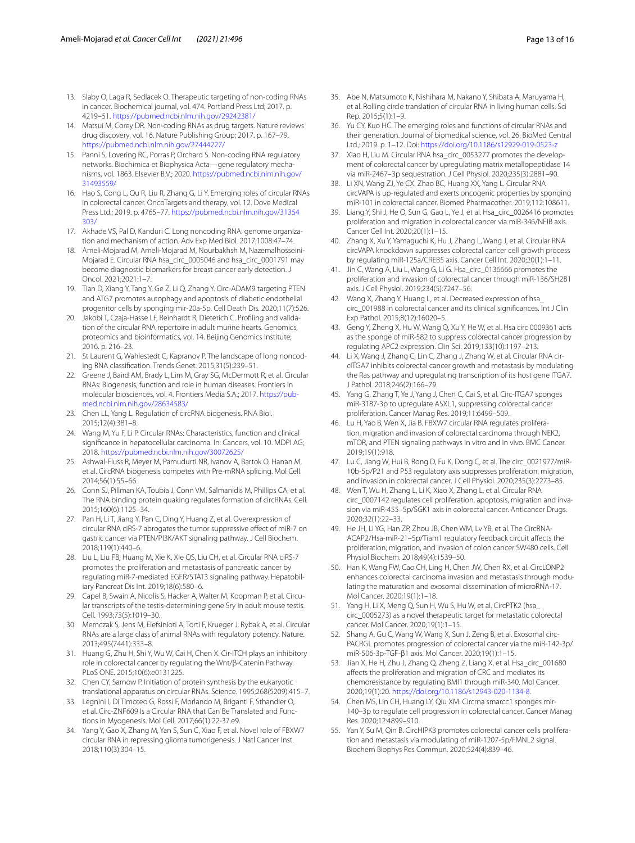- <span id="page-12-0"></span>13. Slaby O, Laga R, Sedlacek O. Therapeutic targeting of non-coding RNAs in cancer. Biochemical journal, vol. 474. Portland Press Ltd; 2017. p. 4219–51. <https://pubmed.ncbi.nlm.nih.gov/29242381/>
- <span id="page-12-1"></span>14. Matsui M, Corey DR. Non-coding RNAs as drug targets. Nature reviews drug discovery, vol. 16. Nature Publishing Group; 2017. p. 167–79. <https://pubmed.ncbi.nlm.nih.gov/27444227/>
- <span id="page-12-2"></span>15. Panni S, Lovering RC, Porras P, Orchard S. Non-coding RNA regulatory networks. Biochimica et Biophysica Acta—gene regulatory mecha‑ nisms, vol. 1863. Elsevier B.V.; 2020. [https://pubmed.ncbi.nlm.nih.gov/](https://pubmed.ncbi.nlm.nih.gov/31493559/) [31493559/](https://pubmed.ncbi.nlm.nih.gov/31493559/)
- <span id="page-12-3"></span>16. Hao S, Cong L, Qu R, Liu R, Zhang G, Li Y. Emerging roles of circular RNAs in colorectal cancer. OncoTargets and therapy, vol. 12. Dove Medical Press Ltd.; 2019. p. 4765–77. [https://pubmed.ncbi.nlm.nih.gov/31354](https://pubmed.ncbi.nlm.nih.gov/31354303/) [303/](https://pubmed.ncbi.nlm.nih.gov/31354303/)
- <span id="page-12-4"></span>17. Akhade VS, Pal D, Kanduri C. Long noncoding RNA: genome organization and mechanism of action. Adv Exp Med Biol. 2017;1008:47–74.
- <span id="page-12-5"></span>18. Ameli-Mojarad M, Ameli-Mojarad M, Nourbakhsh M, Nazemalhosseini-Mojarad E. Circular RNA hsa\_circ\_0005046 and hsa\_circ\_0001791 may become diagnostic biomarkers for breast cancer early detection. J Oncol. 2021;2021:1–7.
- 19. Tian D, Xiang Y, Tang Y, Ge Z, Li Q, Zhang Y. Circ-ADAM9 targeting PTEN and ATG7 promotes autophagy and apoptosis of diabetic endothelial progenitor cells by sponging mir-20a-5p. Cell Death Dis. 2020;11(7):526.
- <span id="page-12-6"></span>20. Jakobi T, Czaja-Hasse LF, Reinhardt R, Dieterich C. Profiling and validation of the circular RNA repertoire in adult murine hearts. Genomics, proteomics and bioinformatics, vol. 14. Beijing Genomics Institute; 2016. p. 216–23.
- <span id="page-12-7"></span>21. St Laurent G, Wahlestedt C, Kapranov P. The landscape of long noncoding RNA classifcation. Trends Genet. 2015;31(5):239–51.
- <span id="page-12-8"></span>22. Greene J, Baird AM, Brady L, Lim M, Gray SG, McDermott R, et al. Circular RNAs: Biogenesis, function and role in human diseases. Frontiers in molecular biosciences, vol. 4. Frontiers Media S.A.; 2017. https://pub[med.ncbi.nlm.nih.gov/28634583/](https://pubmed.ncbi.nlm.nih.gov/28634583/)
- <span id="page-12-9"></span>23. Chen LL, Yang L. Regulation of circRNA biogenesis. RNA Biol. 2015;12(4):381–8.
- <span id="page-12-10"></span>24. Wang M, Yu F, Li P. Circular RNAs: Characteristics, function and clinical signifcance in hepatocellular carcinoma. In: Cancers, vol. 10. MDPI AG; 2018. <https://pubmed.ncbi.nlm.nih.gov/30072625/>
- <span id="page-12-11"></span>25. Ashwal-Fluss R, Meyer M, Pamudurti NR, Ivanov A, Bartok O, Hanan M, et al. CircRNA biogenesis competes with Pre-mRNA splicing. Mol Cell. 2014;56(1):55–66.
- <span id="page-12-12"></span>26. Conn SJ, Pillman KA, Toubia J, Conn VM, Salmanidis M, Phillips CA, et al. The RNA binding protein quaking regulates formation of circRNAs. Cell. 2015;160(6):1125–34.
- <span id="page-12-13"></span>27. Pan H, Li T, Jiang Y, Pan C, Ding Y, Huang Z, et al. Overexpression of circular RNA ciRS-7 abrogates the tumor suppressive efect of miR-7 on gastric cancer via PTEN/PI3K/AKT signaling pathway. J Cell Biochem. 2018;119(1):440–6.
- <span id="page-12-14"></span>28. Liu L, Liu FB, Huang M, Xie K, Xie QS, Liu CH, et al. Circular RNA ciRS-7 promotes the proliferation and metastasis of pancreatic cancer by regulating miR-7-mediated EGFR/STAT3 signaling pathway. Hepatobiliary Pancreat Dis Int. 2019;18(6):580–6.
- <span id="page-12-15"></span>29. Capel B, Swain A, Nicolis S, Hacker A, Walter M, Koopman P, et al. Circular transcripts of the testis-determining gene Sry in adult mouse testis. Cell. 1993;73(5):1019–30.
- <span id="page-12-16"></span>30. Memczak S, Jens M, Elefsinioti A, Torti F, Krueger J, Rybak A, et al. Circular RNAs are a large class of animal RNAs with regulatory potency. Nature. 2013;495(7441):333–8.
- <span id="page-12-17"></span>31. Huang G, Zhu H, Shi Y, Wu W, Cai H, Chen X. Cir-ITCH plays an inhibitory role in colorectal cancer by regulating the Wnt/β-Catenin Pathway. PLoS ONE. 2015;10(6):e0131225.
- <span id="page-12-18"></span>32. Chen CY, Sarnow P. Initiation of protein synthesis by the eukaryotic translational apparatus on circular RNAs. Science. 1995;268(5209):415–7.
- <span id="page-12-19"></span>33. Legnini I, Di Timoteo G, Rossi F, Morlando M, Briganti F, Sthandier O, et al. Circ-ZNF609 Is a Circular RNA that Can Be Translated and Functions in Myogenesis. Mol Cell. 2017;66(1):22-37.e9.
- <span id="page-12-20"></span>34. Yang Y, Gao X, Zhang M, Yan S, Sun C, Xiao F, et al. Novel role of FBXW7 circular RNA in repressing glioma tumorigenesis. J Natl Cancer Inst. 2018;110(3):304–15.
- <span id="page-12-21"></span>35. Abe N, Matsumoto K, Nishihara M, Nakano Y, Shibata A, Maruyama H, et al. Rolling circle translation of circular RNA in living human cells. Sci Rep. 2015;5(1):1–9.
- <span id="page-12-22"></span>36. Yu CY, Kuo HC. The emerging roles and functions of circular RNAs and their generation. Journal of biomedical science, vol. 26. BioMed Central Ltd.; 2019. p. 1–12. Doi: <https://doi.org/10.1186/s12929-019-0523-z>
- <span id="page-12-23"></span>37. Xiao H, Liu M. Circular RNA hsa\_circ\_0053277 promotes the development of colorectal cancer by upregulating matrix metallopeptidase 14 via miR-2467–3p sequestration. J Cell Physiol. 2020;235(3):2881–90.
- <span id="page-12-24"></span>38. Li XN, Wang ZJ, Ye CX, Zhao BC, Huang XX, Yang L. Circular RNA circVAPA is up-regulated and exerts oncogenic properties by sponging miR-101 in colorectal cancer. Biomed Pharmacother. 2019;112:108611.
- <span id="page-12-25"></span>39. Liang Y, Shi J, He Q, Sun G, Gao L, Ye J, et al. Hsa\_circ\_0026416 promotes proliferation and migration in colorectal cancer via miR-346/NFIB axis. Cancer Cell Int. 2020;20(1):1–15.
- <span id="page-12-26"></span>40. Zhang X, Xu Y, Yamaguchi K, Hu J, Zhang L, Wang J, et al. Circular RNA circVAPA knockdown suppresses colorectal cancer cell growth process by regulating miR-125a/CREB5 axis. Cancer Cell Int. 2020;20(1):1–11.
- <span id="page-12-27"></span>41. Jin C, Wang A, Liu L, Wang G, Li G. Hsa\_circ\_0136666 promotes the proliferation and invasion of colorectal cancer through miR-136/SH2B1 axis. J Cell Physiol. 2019;234(5):7247–56.
- <span id="page-12-28"></span>42. Wang X, Zhang Y, Huang L, et al. Decreased expression of hsa\_ circ\_001988 in colorectal cancer and its clinical signifcances. Int J Clin Exp Pathol. 2015;8(12):16020–5.
- <span id="page-12-29"></span>43. Geng Y, Zheng X, Hu W, Wang Q, Xu Y, He W, et al. Hsa circ 0009361 acts as the sponge of miR-582 to suppress colorectal cancer progression by regulating APC2 expression. Clin Sci. 2019;133(10):1197–213.
- <span id="page-12-30"></span>44. Li X, Wang J, Zhang C, Lin C, Zhang J, Zhang W, et al. Circular RNA circITGA7 inhibits colorectal cancer growth and metastasis by modulating the Ras pathway and upregulating transcription of its host gene ITGA7. J Pathol. 2018;246(2):166–79.
- <span id="page-12-31"></span>45. Yang G, Zhang T, Ye J, Yang J, Chen C, Cai S, et al. Circ-ITGA7 sponges miR-3187-3p to upregulate ASXL1, suppressing colorectal cancer proliferation. Cancer Manag Res. 2019;11:6499–509.
- <span id="page-12-32"></span>46. Lu H, Yao B, Wen X, Jia B. FBXW7 circular RNA regulates proliferation, migration and invasion of colorectal carcinoma through NEK2, mTOR, and PTEN signaling pathways in vitro and in vivo. BMC Cancer. 2019;19(1):918.
- <span id="page-12-33"></span>47. Lu C, Jiang W, Hui B, Rong D, Fu K, Dong C, et al. The circ\_0021977/miR-10b-5p/P21 and P53 regulatory axis suppresses proliferation, migration, and invasion in colorectal cancer. J Cell Physiol. 2020;235(3):2273–85.
- <span id="page-12-34"></span>48. Wen T, Wu H, Zhang L, Li K, Xiao X, Zhang L, et al. Circular RNA circ\_0007142 regulates cell proliferation, apoptosis, migration and invasion via miR-455–5p/SGK1 axis in colorectal cancer. Anticancer Drugs. 2020;32(1):22–33.
- <span id="page-12-35"></span>49. He JH, Li YG, Han ZP, Zhou JB, Chen WM, Lv YB, et al. The CircRNA-ACAP2/Hsa-miR-21–5p/Tiam1 regulatory feedback circuit afects the proliferation, migration, and invasion of colon cancer SW480 cells. Cell Physiol Biochem. 2018;49(4):1539–50.
- <span id="page-12-36"></span>50. Han K, Wang FW, Cao CH, Ling H, Chen JW, Chen RX, et al. CircLONP2 enhances colorectal carcinoma invasion and metastasis through modulating the maturation and exosomal dissemination of microRNA-17. Mol Cancer. 2020;19(1):1–18.
- <span id="page-12-37"></span>51. Yang H, Li X, Meng Q, Sun H, Wu S, Hu W, et al. CircPTK2 (hsa\_ circ\_0005273) as a novel therapeutic target for metastatic colorectal cancer. Mol Cancer. 2020;19(1):1–15.
- <span id="page-12-38"></span>52. Shang A, Gu C, Wang W, Wang X, Sun J, Zeng B, et al. Exosomal circ-PACRGL promotes progression of colorectal cancer via the miR-142-3p/ miR-506-3p-TGF-β1 axis. Mol Cancer. 2020;19(1):1–15.
- <span id="page-12-39"></span>53. Jian X, He H, Zhu J, Zhang Q, Zheng Z, Liang X, et al. Hsa\_circ\_001680 afects the proliferation and migration of CRC and mediates its chemoresistance by regulating BMI1 through miR-340. Mol Cancer. 2020;19(1):20. [https://doi.org/10.1186/s12943-020-1134-8.](https://doi.org/10.1186/s12943-020-1134-8)
- <span id="page-12-40"></span>54. Chen MS, Lin CH, Huang LY, Qiu XM. Circrna smarcc1 sponges mir-140–3p to regulate cell progression in colorectal cancer. Cancer Manag Res. 2020;12:4899–910.
- <span id="page-12-41"></span>Yan Y, Su M, Qin B. CircHIPK3 promotes colorectal cancer cells proliferation and metastasis via modulating of miR-1207-5p/FMNL2 signal. Biochem Biophys Res Commun. 2020;524(4):839–46.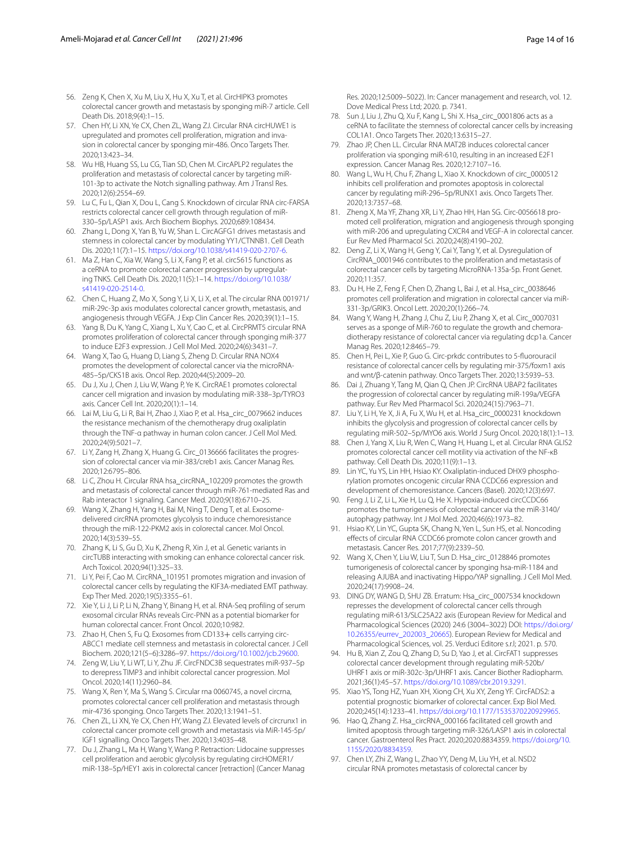- <span id="page-13-2"></span>56. Zeng K, Chen X, Xu M, Liu X, Hu X, Xu T, et al. CircHIPK3 promotes colorectal cancer growth and metastasis by sponging miR-7 article. Cell Death Dis. 2018;9(4):1–15.
- <span id="page-13-3"></span>57. Chen HY, Li XN, Ye CX, Chen ZL, Wang ZJ. Circular RNA circHUWE1 is upregulated and promotes cell proliferation, migration and invasion in colorectal cancer by sponging mir-486. Onco Targets Ther. 2020;13:423–34.
- <span id="page-13-4"></span>58. Wu HB, Huang SS, Lu CG, Tian SD, Chen M. CircAPLP2 regulates the proliferation and metastasis of colorectal cancer by targeting miR-101-3p to activate the Notch signalling pathway. Am J Transl Res. 2020;12(6):2554–69.
- <span id="page-13-5"></span>59. Lu C, Fu L, Qian X, Dou L, Cang S. Knockdown of circular RNA circ-FARSA restricts colorectal cancer cell growth through regulation of miR-330–5p/LASP1 axis. Arch Biochem Biophys. 2020;689:108434.
- <span id="page-13-6"></span>60. Zhang L, Dong X, Yan B, Yu W, Shan L. CircAGFG1 drives metastasis and stemness in colorectal cancer by modulating YY1/CTNNB1. Cell Death Dis. 2020;11(7):1–15.<https://doi.org/10.1038/s41419-020-2707-6>.
- <span id="page-13-7"></span>61. Ma Z, Han C, Xia W, Wang S, Li X, Fang P, et al. circ5615 functions as a ceRNA to promote colorectal cancer progression by upregulating TNKS. Cell Death Dis. 2020;11(5):1–14. [https://doi.org/10.1038/](https://doi.org/10.1038/s41419-020-2514-0) [s41419-020-2514-0](https://doi.org/10.1038/s41419-020-2514-0).
- <span id="page-13-8"></span>62. Chen C, Huang Z, Mo X, Song Y, Li X, Li X, et al. The circular RNA 001971/ miR-29c-3p axis modulates colorectal cancer growth, metastasis, and angiogenesis through VEGFA. J Exp Clin Cancer Res. 2020;39(1):1–15.
- <span id="page-13-9"></span>63. Yang B, Du K, Yang C, Xiang L, Xu Y, Cao C, et al. CircPRMT5 circular RNA promotes proliferation of colorectal cancer through sponging miR-377 to induce E2F3 expression. J Cell Mol Med. 2020;24(6):3431–7.
- <span id="page-13-10"></span>64. Wang X, Tao G, Huang D, Liang S, Zheng D. Circular RNA NOX4 promotes the development of colorectal cancer via the microRNA-485–5p/CKS1B axis. Oncol Rep. 2020;44(5):2009–20.
- <span id="page-13-11"></span>65. Du J, Xu J, Chen J, Liu W, Wang P, Ye K. CircRAE1 promotes colorectal cancer cell migration and invasion by modulating miR-338–3p/TYRO3 axis. Cancer Cell Int. 2020;20(1):1–14.
- <span id="page-13-12"></span>66. Lai M, Liu G, Li R, Bai H, Zhao J, Xiao P, et al. Hsa\_circ\_0079662 induces the resistance mechanism of the chemotherapy drug oxaliplatin through the TNF-α pathway in human colon cancer. J Cell Mol Med. 2020;24(9):5021–7.
- <span id="page-13-13"></span>67. Li Y, Zang H, Zhang X, Huang G. Circ\_0136666 facilitates the progres‑ sion of colorectal cancer via mir-383/creb1 axis. Cancer Manag Res. 2020;12:6795–806.
- <span id="page-13-14"></span>68. Li C, Zhou H. Circular RNA hsa\_circRNA\_102209 promotes the growth and metastasis of colorectal cancer through miR-761-mediated Ras and Rab interactor 1 signaling. Cancer Med. 2020;9(18):6710–25.
- <span id="page-13-15"></span>69. Wang X, Zhang H, Yang H, Bai M, Ning T, Deng T, et al. Exosomedelivered circRNA promotes glycolysis to induce chemoresistance through the miR-122-PKM2 axis in colorectal cancer. Mol Oncol. 2020;14(3):539–55.
- <span id="page-13-16"></span>70. Zhang K, Li S, Gu D, Xu K, Zheng R, Xin J, et al. Genetic variants in circTUBB interacting with smoking can enhance colorectal cancer risk. Arch Toxicol. 2020;94(1):325–33.
- <span id="page-13-17"></span>71. Li Y, Pei F, Cao M. CircRNA\_101951 promotes migration and invasion of colorectal cancer cells by regulating the KIF3A-mediated EMT pathway. Exp Ther Med. 2020;19(5):3355–61.
- <span id="page-13-18"></span>72. Xie Y, Li J, Li P, Li N, Zhang Y, Binang H, et al. RNA-Seq profling of serum exosomal circular RNAs reveals Circ-PNN as a potential biomarker for human colorectal cancer. Front Oncol. 2020;10:982.
- <span id="page-13-19"></span>73. Zhao H, Chen S, Fu Q. Exosomes from CD133+ cells carrying circ-ABCC1 mediate cell stemness and metastasis in colorectal cancer. J Cell Biochem. 2020;121(5–6):3286–97. <https://doi.org/10.1002/jcb.29600>.
- <span id="page-13-20"></span>74. Zeng W, Liu Y, Li WT, Li Y, Zhu JF. CircFNDC3B sequestrates miR-937–5p to derepress TIMP3 and inhibit colorectal cancer progression. Mol Oncol. 2020;14(11):2960–84.
- <span id="page-13-21"></span>75. Wang X, Ren Y, Ma S, Wang S. Circular rna 0060745, a novel circrna, promotes colorectal cancer cell proliferation and metastasis through mir-4736 sponging. Onco Targets Ther. 2020;13:1941–51.
- <span id="page-13-22"></span>76. Chen ZL, Li XN, Ye CX, Chen HY, Wang ZJ. Elevated levels of circrunx1 in colorectal cancer promote cell growth and metastasis via MiR-145-5p/ IGF1 signalling. Onco Targets Ther. 2020;13:4035–48.
- <span id="page-13-23"></span>77. Du J, Zhang L, Ma H, Wang Y, Wang P. Retraction: Lidocaine suppresses cell proliferation and aerobic glycolysis by regulating circHOMER1/ miR-138–5p/HEY1 axis in colorectal cancer [retraction] (Cancer Manag

Res. 2020;12:5009–5022). In: Cancer management and research, vol. 12. Dove Medical Press Ltd; 2020. p. 7341.

- <span id="page-13-24"></span>78. Sun J, Liu J, Zhu Q, Xu F, Kang L, Shi X. Hsa\_circ\_0001806 acts as a ceRNA to facilitate the stemness of colorectal cancer cells by increasing COL1A1. Onco Targets Ther. 2020;13:6315–27.
- <span id="page-13-25"></span>79. Zhao JP, Chen LL. Circular RNA MAT2B induces colorectal cancer proliferation via sponging miR-610, resulting in an increased E2F1 expression. Cancer Manag Res. 2020;12:7107–16.
- <span id="page-13-26"></span>80. Wang L, Wu H, Chu F, Zhang L, Xiao X. Knockdown of circ\_0000512 inhibits cell proliferation and promotes apoptosis in colorectal cancer by regulating miR-296–5p/RUNX1 axis. Onco Targets Ther. 2020;13:7357–68.
- <span id="page-13-27"></span>81. Zheng X, Ma YF, Zhang XR, Li Y, Zhao HH, Han SG. Circ-0056618 promoted cell proliferation, migration and angiogenesis through sponging with miR-206 and upregulating CXCR4 and VEGF-A in colorectal cancer. Eur Rev Med Pharmacol Sci. 2020;24(8):4190–202.
- <span id="page-13-28"></span>82. Deng Z, Li X, Wang H, Geng Y, Cai Y, Tang Y, et al. Dysregulation of CircRNA\_0001946 contributes to the proliferation and metastasis of colorectal cancer cells by targeting MicroRNA-135a-5p. Front Genet. 2020;11:357.
- <span id="page-13-29"></span>83. Du H, He Z, Feng F, Chen D, Zhang L, Bai J, et al. Hsa\_circ\_0038646 promotes cell proliferation and migration in colorectal cancer via miR-331-3p/GRIK3. Oncol Lett. 2020;20(1):266–74.
- <span id="page-13-0"></span>84. Wang Y, Wang H, Zhang J, Chu Z, Liu P, Zhang X, et al. Circ\_0007031 serves as a sponge of MiR-760 to regulate the growth and chemoradiotherapy resistance of colorectal cancer via regulating dcp1a. Cancer Manag Res. 2020;12:8465–79.
- <span id="page-13-30"></span>85. Chen H, Pei L, Xie P, Guo G. Circ-prkdc contributes to 5-fuorouracil resistance of colorectal cancer cells by regulating mir-375/foxm1 axis and wnt/β-catenin pathway. Onco Targets Ther. 2020;13:5939–53.
- <span id="page-13-31"></span>86. Dai J, Zhuang Y, Tang M, Qian Q, Chen JP. CircRNA UBAP2 facilitates the progression of colorectal cancer by regulating miR-199a/VEGFA pathway. Eur Rev Med Pharmacol Sci. 2020;24(15):7963–71.
- <span id="page-13-32"></span>87. Liu Y, Li H, Ye X, Ji A, Fu X, Wu H, et al. Hsa\_circ\_0000231 knockdown inhibits the glycolysis and progression of colorectal cancer cells by regulating miR-502–5p/MYO6 axis. World J Surg Oncol. 2020;18(1):1–13.
- <span id="page-13-33"></span>88. Chen J, Yang X, Liu R, Wen C, Wang H, Huang L, et al. Circular RNA GLIS2 promotes colorectal cancer cell motility via activation of the NF-κB pathway. Cell Death Dis. 2020;11(9):1–13.
- <span id="page-13-34"></span>89. Lin YC, Yu YS, Lin HH, Hsiao KY. Oxaliplatin-induced DHX9 phosphorylation promotes oncogenic circular RNA CCDC66 expression and development of chemoresistance. Cancers (Basel). 2020;12(3):697.
- <span id="page-13-35"></span>90. Feng J, Li Z, Li L, Xie H, Lu Q, He X. Hypoxia-induced circCCDC66 promotes the tumorigenesis of colorectal cancer via the miR-3140/ autophagy pathway. Int J Mol Med. 2020;46(6):1973–82.
- <span id="page-13-36"></span>91. Hsiao KY, Lin YC, Gupta SK, Chang N, Yen L, Sun HS, et al. Noncoding efects of circular RNA CCDC66 promote colon cancer growth and metastasis. Cancer Res. 2017;77(9):2339–50.
- <span id="page-13-37"></span>92. Wang X, Chen Y, Liu W, Liu T, Sun D. Hsa\_circ\_0128846 promotes tumorigenesis of colorectal cancer by sponging hsa-miR-1184 and releasing AJUBA and inactivating Hippo/YAP signalling. J Cell Mol Med. 2020;24(17):9908–24.
- <span id="page-13-38"></span>93. DING DY, WANG D, SHU ZB. Erratum: Hsa\_circ\_0007534 knockdown represses the development of colorectal cancer cells through regulating miR-613/SLC25A22 axis (European Review for Medical and Pharmacological Sciences (2020) 24:6 (3004–3022) DOI: [https://doi.org/](https://doi.org/10.26355/eurrev_202003_20665) [10.26355/eurrev\\_202003\\_20665\)](https://doi.org/10.26355/eurrev_202003_20665). European Review for Medical and Pharmacological Sciences, vol. 25. Verduci Editore s.r.l; 2021. p. 570.
- <span id="page-13-39"></span>94. Hu B, Xian Z, Zou Q, Zhang D, Su D, Yao J, et al. CircFAT1 suppresses colorectal cancer development through regulating miR-520b/ UHRF1 axis or miR-302c-3p/UHRF1 axis. Cancer Biother Radiopharm. 2021;36(1):45–57.<https://doi.org/10.1089/cbr.2019.3291>.
- <span id="page-13-1"></span>95. Xiao YS, Tong HZ, Yuan XH, Xiong CH, Xu XY, Zeng YF. CircFADS2: a potential prognostic biomarker of colorectal cancer. Exp Biol Med. 2020;245(14):1233–41.<https://doi.org/10.1177/1535370220929965>.
- <span id="page-13-40"></span>96. Hao Q, Zhang Z. Hsa\_circRNA\_000166 facilitated cell growth and limited apoptosis through targeting miR-326/LASP1 axis in colorectal cancer. Gastroenterol Res Pract. 2020;2020:8834359. [https://doi.org/10.](https://doi.org/10.1155/2020/8834359) [1155/2020/8834359](https://doi.org/10.1155/2020/8834359).
- <span id="page-13-41"></span>97. Chen LY, Zhi Z, Wang L, Zhao YY, Deng M, Liu YH, et al. NSD2 circular RNA promotes metastasis of colorectal cancer by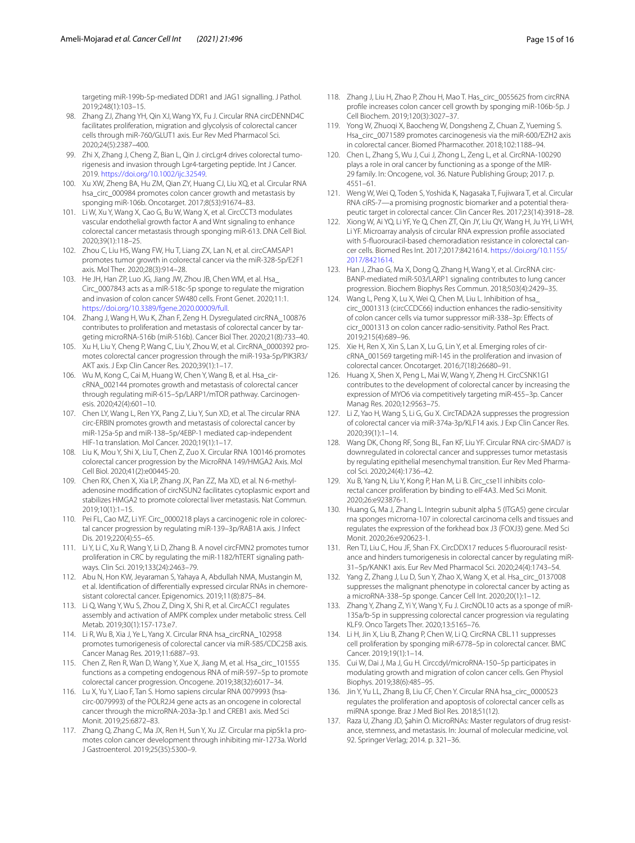targeting miR-199b-5p-mediated DDR1 and JAG1 signalling. J Pathol. 2019;248(1):103–15.

- <span id="page-14-4"></span>98. Zhang ZJ, Zhang YH, Qin XJ, Wang YX, Fu J. Circular RNA circDENND4C facilitates proliferation, migration and glycolysis of colorectal cancer cells through miR-760/GLUT1 axis. Eur Rev Med Pharmacol Sci. 2020;24(5):2387–400.
- <span id="page-14-5"></span>99. Zhi X, Zhang J, Cheng Z, Bian L, Qin J. circLgr4 drives colorectal tumorigenesis and invasion through Lgr4-targeting peptide. Int J Cancer. 2019. [https://doi.org/10.1002/ijc.32549.](https://doi.org/10.1002/ijc.32549)
- <span id="page-14-6"></span>100. Xu XW, Zheng BA, Hu ZM, Qian ZY, Huang CJ, Liu XQ, et al. Circular RNA hsa\_circ\_000984 promotes colon cancer growth and metastasis by sponging miR-106b. Oncotarget. 2017;8(53):91674–83.
- <span id="page-14-7"></span>101. Li W, Xu Y, Wang X, Cao G, Bu W, Wang X, et al. CircCCT3 modulates vascular endothelial growth factor A and Wnt signaling to enhance colorectal cancer metastasis through sponging miR-613. DNA Cell Biol. 2020;39(1):118–25.
- <span id="page-14-8"></span>102. Zhou C, Liu HS, Wang FW, Hu T, Liang ZX, Lan N, et al. circCAMSAP1 promotes tumor growth in colorectal cancer via the miR-328-5p/E2F1 axis. Mol Ther. 2020;28(3):914–28.
- <span id="page-14-9"></span>103. He JH, Han ZP, Luo JG, Jiang JW, Zhou JB, Chen WM, et al. Hsa\_ Circ\_0007843 acts as a mIR-518c-5p sponge to regulate the migration and invasion of colon cancer SW480 cells. Front Genet. 2020;11:1. <https://doi.org/10.3389/fgene.2020.00009/full>.
- <span id="page-14-10"></span>104. Zhang J, Wang H, Wu K, Zhan F, Zeng H. Dysregulated circRNA\_100876 contributes to proliferation and metastasis of colorectal cancer by targeting microRNA-516b (miR-516b). Cancer Biol Ther. 2020;21(8):733–40.
- <span id="page-14-11"></span>105. Xu H, Liu Y, Cheng P, Wang C, Liu Y, Zhou W, et al. CircRNA\_0000392 promotes colorectal cancer progression through the miR-193a-5p/PIK3R3/ AKT axis. J Exp Clin Cancer Res. 2020;39(1):1–17.
- <span id="page-14-12"></span>106. Wu M, Kong C, Cai M, Huang W, Chen Y, Wang B, et al. Hsa\_circRNA\_002144 promotes growth and metastasis of colorectal cancer through regulating miR-615-5p/LARP1/mTOR pathway. Carcinogenesis. 2020;42(4):601–10.
- <span id="page-14-13"></span>107. Chen LY, Wang L, Ren YX, Pang Z, Liu Y, Sun XD, et al. The circular RNA circ-ERBIN promotes growth and metastasis of colorectal cancer by miR-125a-5p and miR-138–5p/4EBP-1 mediated cap-independent HIF-1α translation. Mol Cancer. 2020;19(1):1–17.
- <span id="page-14-14"></span>108. Liu K, Mou Y, Shi X, Liu T, Chen Z, Zuo X. Circular RNA 100146 promotes colorectal cancer progression by the MicroRNA 149/HMGA2 Axis. Mol Cell Biol. 2020;41(2):e00445-20.
- <span id="page-14-15"></span>109. Chen RX, Chen X, Xia LP, Zhang JX, Pan ZZ, Ma XD, et al. N 6-methyladenosine modifcation of circNSUN2 facilitates cytoplasmic export and stabilizes HMGA2 to promote colorectal liver metastasis. Nat Commun. 2019;10(1):1–15.
- <span id="page-14-16"></span>110. Pei FL, Cao MZ, Li YF. Circ 0000218 plays a carcinogenic role in colorectal cancer progression by regulating miR-139–3p/RAB1A axis. J Infect Dis. 2019;220(4):55–65.
- <span id="page-14-17"></span>111. Li Y, Li C, Xu R, Wang Y, Li D, Zhang B. A novel circFMN2 promotes tumor proliferation in CRC by regulating the miR-1182/hTERT signaling pathways. Clin Sci. 2019;133(24):2463–79.
- <span id="page-14-1"></span>112. Abu N, Hon KW, Jeyaraman S, Yahaya A, Abdullah NMA, Mustangin M, et al. Identification of differentially expressed circular RNAs in chemoresistant colorectal cancer. Epigenomics. 2019;11(8):875–84.
- <span id="page-14-18"></span>113. Li Q, Wang Y, Wu S, Zhou Z, Ding X, Shi R, et al. CircACC1 regulates assembly and activation of AMPK complex under metabolic stress. Cell Metab. 2019;30(1):157-173.e7.
- <span id="page-14-19"></span>114. Li R, Wu B, Xia J, Ye L, Yang X. Circular RNA hsa\_circRNA\_102958 promotes tumorigenesis of colorectal cancer via miR-585/CDC25B axis. Cancer Manag Res. 2019;11:6887–93.
- <span id="page-14-20"></span>115. Chen Z, Ren R, Wan D, Wang Y, Xue X, Jiang M, et al. Hsa\_circ\_101555 functions as a competing endogenous RNA of miR-597–5p to promote colorectal cancer progression. Oncogene. 2019;38(32):6017–34.
- <span id="page-14-21"></span>116. Lu X, Yu Y, Liao F, Tan S. Homo sapiens circular RNA 0079993 (hsacirc-0079993) of the POLR2J4 gene acts as an oncogene in colorectal cancer through the microRNA-203a-3p.1 and CREB1 axis. Med Sci Monit. 2019;25:6872–83.
- <span id="page-14-22"></span>117. Zhang Q, Zhang C, Ma JX, Ren H, Sun Y, Xu JZ. Circular rna pip5k1a promotes colon cancer development through inhibiting mir-1273a. World J Gastroenterol. 2019;25(35):5300–9.
- <span id="page-14-23"></span>118. Zhang J, Liu H, Zhao P, Zhou H, Mao T. Has\_circ\_0055625 from circRNA profle increases colon cancer cell growth by sponging miR-106b-5p. J Cell Biochem. 2019;120(3):3027–37.
- <span id="page-14-24"></span>119. Yong W, Zhuoqi X, Baocheng W, Dongsheng Z, Chuan Z, Yueming S. Hsa\_circ\_0071589 promotes carcinogenesis via the miR-600/EZH2 axis in colorectal cancer. Biomed Pharmacother. 2018;102:1188–94.
- <span id="page-14-25"></span>120. Chen L, Zhang S, Wu J, Cui J, Zhong L, Zeng L, et al. CircRNA-100290 plays a role in oral cancer by functioning as a sponge of the MIR-29 family. In: Oncogene, vol. 36. Nature Publishing Group; 2017. p. 4551–61.
- <span id="page-14-26"></span>121. Weng W, Wei Q, Toden S, Yoshida K, Nagasaka T, Fujiwara T, et al. Circular RNA ciRS-7—a promising prognostic biomarker and a potential therapeutic target in colorectal cancer. Clin Cancer Res. 2017;23(14):3918–28.
- <span id="page-14-27"></span>122. Xiong W, Ai YQ, Li YF, Ye Q, Chen ZT, Qin JY, Liu QY, Wang H, Ju YH, Li WH, Li YF. Microarray analysis of circular RNA expression profle associated with 5-fluorouracil-based chemoradiation resistance in colorectal cancer cells. Biomed Res Int. 2017;2017:8421614. [https://doi.org/10.1155/](https://doi.org/10.1155/2017/8421614) [2017/8421614](https://doi.org/10.1155/2017/8421614).
- <span id="page-14-28"></span>123. Han J, Zhao G, Ma X, Dong Q, Zhang H, Wang Y, et al. CircRNA circ-BANP-mediated miR-503/LARP1 signaling contributes to lung cancer progression. Biochem Biophys Res Commun. 2018;503(4):2429–35.
- <span id="page-14-2"></span>124. Wang L, Peng X, Lu X, Wei Q, Chen M, Liu L. Inhibition of hsa\_ circ\_0001313 (circCCDC66) induction enhances the radio-sensitivity of colon cancer cells via tumor suppressor miR-338–3p: Efects of cicr\_0001313 on colon cancer radio-sensitivity. Pathol Res Pract. 2019;215(4):689–96.
- <span id="page-14-29"></span>125. Xie H, Ren X, Xin S, Lan X, Lu G, Lin Y, et al. Emerging roles of circRNA\_001569 targeting miR-145 in the proliferation and invasion of colorectal cancer. Oncotarget. 2016;7(18):26680–91.
- <span id="page-14-30"></span>126. Huang X, Shen X, Peng L, Mai W, Wang Y, Zheng H. CircCSNK1G1 contributes to the development of colorectal cancer by increasing the expression of MYO6 via competitively targeting miR-455–3p. Cancer Manag Res. 2020;12:9563–75.
- <span id="page-14-31"></span>127. Li Z, Yao H, Wang S, Li G, Gu X. CircTADA2A suppresses the progression of colorectal cancer via miR-374a-3p/KLF14 axis. J Exp Clin Cancer Res. 2020;39(1):1–14.
- <span id="page-14-32"></span>128. Wang DK, Chong RF, Song BL, Fan KF, Liu YF. Circular RNA circ-SMAD7 is downregulated in colorectal cancer and suppresses tumor metastasis by regulating epithelial mesenchymal transition. Eur Rev Med Pharmacol Sci. 2020;24(4):1736–42.
- <span id="page-14-33"></span>129. Xu B, Yang N, Liu Y, Kong P, Han M, Li B. Circ\_cse1l inhibits colorectal cancer proliferation by binding to eIF4A3. Med Sci Monit. 2020;26:e923876-1.
- <span id="page-14-34"></span>130. Huang G, Ma J, Zhang L. Integrin subunit alpha 5 (ITGA5) gene circular rna sponges microrna-107 in colorectal carcinoma cells and tissues and regulates the expression of the forkhead box J3 (FOXJ3) gene. Med Sci Monit. 2020;26:e920623-1.
- <span id="page-14-3"></span>131. Ren TJ, Liu C, Hou JF, Shan FX. CircDDX17 reduces 5-fluorouracil resistance and hinders tumorigenesis in colorectal cancer by regulating miR-31–5p/KANK1 axis. Eur Rev Med Pharmacol Sci. 2020;24(4):1743–54.
- <span id="page-14-35"></span>132. Yang Z, Zhang J, Lu D, Sun Y, Zhao X, Wang X, et al. Hsa\_circ\_0137008 suppresses the malignant phenotype in colorectal cancer by acting as a microRNA-338–5p sponge. Cancer Cell Int. 2020;20(1):1–12.
- <span id="page-14-36"></span>133. Zhang Y, Zhang Z, Yi Y, Wang Y, Fu J. CircNOL10 acts as a sponge of miR-135a/b-5p in suppressing colorectal cancer progression via regulating KLF9. Onco Targets Ther. 2020;13:5165–76.
- <span id="page-14-37"></span>134. Li H, Jin X, Liu B, Zhang P, Chen W, Li Q. CircRNA CBL.11 suppresses cell proliferation by sponging miR-6778–5p in colorectal cancer. BMC Cancer. 2019;19(1):1–14.
- <span id="page-14-38"></span>135. Cui W, Dai J, Ma J, Gu H. Circcdyl/microRNA-150–5p participates in modulating growth and migration of colon cancer cells. Gen Physiol Biophys. 2019;38(6):485–95.
- <span id="page-14-39"></span>136. Jin Y, Yu LL, Zhang B, Liu CF, Chen Y. Circular RNA hsa\_circ\_0000523 regulates the proliferation and apoptosis of colorectal cancer cells as miRNA sponge. Braz J Med Biol Res. 2018;51(12).
- <span id="page-14-0"></span>137. Raza U, Zhang JD, Şahin Ö. MicroRNAs: Master regulators of drug resistance, stemness, and metastasis. In: Journal of molecular medicine, vol. 92. Springer Verlag; 2014. p. 321–36.